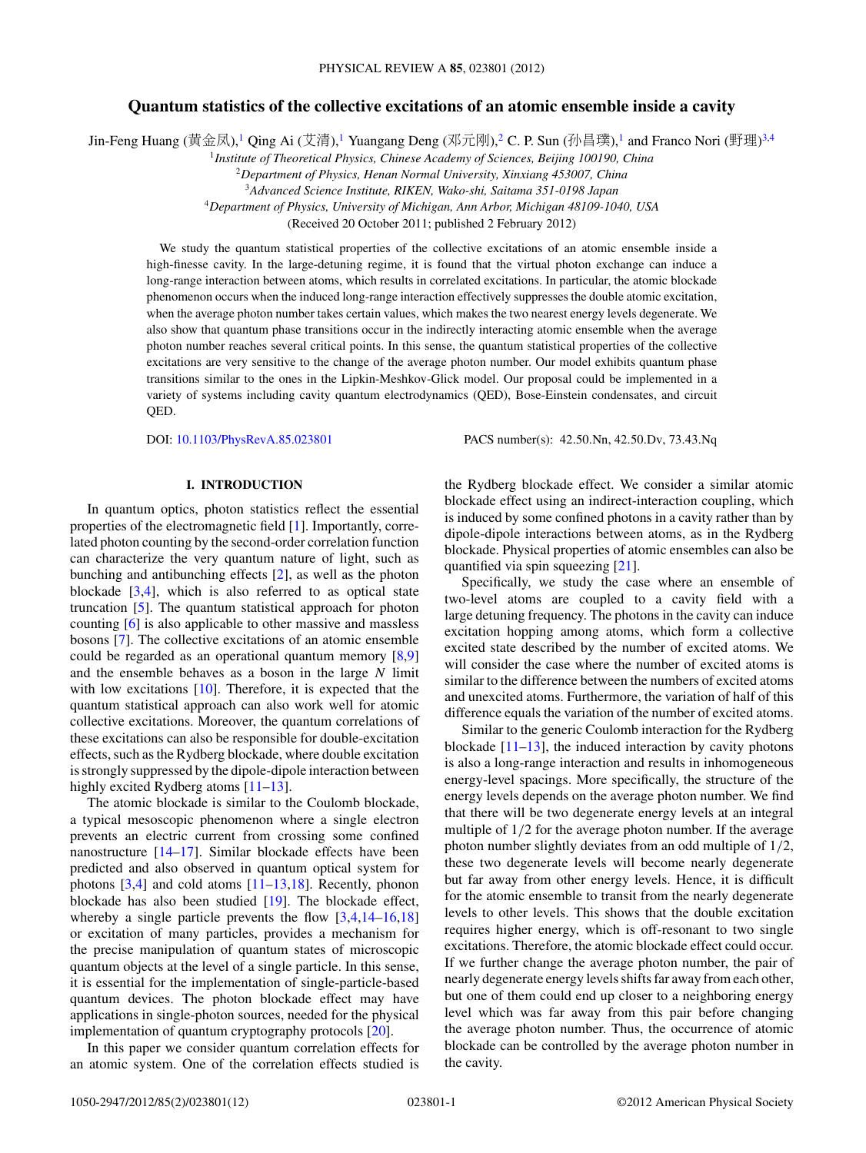# **Quantum statistics of the collective excitations of an atomic ensemble inside a cavity**

Jin-Feng Huang (黄金凤),<sup>1</sup> Qing Ai (艾清),<sup>1</sup> Yuangang Deng (邓元刚),<sup>2</sup> C. P. Sun (孙昌璞),<sup>1</sup> and Franco Nori (野理)<sup>3,4</sup>

<sup>1</sup>*Institute of Theoretical Physics, Chinese Academy of Sciences, Beijing 100190, China*

<sup>2</sup>*Department of Physics, Henan Normal University, Xinxiang 453007, China*

<sup>3</sup>*Advanced Science Institute, RIKEN, Wako-shi, Saitama 351-0198 Japan*

<sup>4</sup>*Department of Physics, University of Michigan, Ann Arbor, Michigan 48109-1040, USA*

(Received 20 October 2011; published 2 February 2012)

We study the quantum statistical properties of the collective excitations of an atomic ensemble inside a high-finesse cavity. In the large-detuning regime, it is found that the virtual photon exchange can induce a long-range interaction between atoms, which results in correlated excitations. In particular, the atomic blockade phenomenon occurs when the induced long-range interaction effectively suppresses the double atomic excitation, when the average photon number takes certain values, which makes the two nearest energy levels degenerate. We also show that quantum phase transitions occur in the indirectly interacting atomic ensemble when the average photon number reaches several critical points. In this sense, the quantum statistical properties of the collective excitations are very sensitive to the change of the average photon number. Our model exhibits quantum phase transitions similar to the ones in the Lipkin-Meshkov-Glick model. Our proposal could be implemented in a variety of systems including cavity quantum electrodynamics (QED), Bose-Einstein condensates, and circuit QED.

DOI: [10.1103/PhysRevA.85.023801](http://dx.doi.org/10.1103/PhysRevA.85.023801) PACS number(s): 42*.*50*.*Nn, 42*.*50*.*Dv, 73*.*43*.*Nq

# **I. INTRODUCTION**

In quantum optics, photon statistics reflect the essential properties of the electromagnetic field [\[1\]](#page-10-0). Importantly, correlated photon counting by the second-order correlation function can characterize the very quantum nature of light, such as bunching and antibunching effects [\[2\]](#page-10-0), as well as the photon blockade [\[3,4\]](#page-10-0), which is also referred to as optical state truncation [\[5\]](#page-11-0). The quantum statistical approach for photon counting [\[6\]](#page-11-0) is also applicable to other massive and massless bosons [\[7\]](#page-11-0). The collective excitations of an atomic ensemble could be regarded as an operational quantum memory [\[8,9\]](#page-11-0) and the ensemble behaves as a boson in the large *N* limit with low excitations [\[10\]](#page-11-0). Therefore, it is expected that the quantum statistical approach can also work well for atomic collective excitations. Moreover, the quantum correlations of these excitations can also be responsible for double-excitation effects, such as the Rydberg blockade, where double excitation is strongly suppressed by the dipole-dipole interaction between highly excited Rydberg atoms [\[11–13\]](#page-11-0).

The atomic blockade is similar to the Coulomb blockade, a typical mesoscopic phenomenon where a single electron prevents an electric current from crossing some confined nanostructure [\[14–17\]](#page-11-0). Similar blockade effects have been predicted and also observed in quantum optical system for photons [\[3,4\]](#page-10-0) and cold atoms [\[11–13,18\]](#page-11-0). Recently, phonon blockade has also been studied [\[19\]](#page-11-0). The blockade effect, whereby a single particle prevents the flow [\[3,4,](#page-10-0)[14–16,18\]](#page-11-0) or excitation of many particles, provides a mechanism for the precise manipulation of quantum states of microscopic quantum objects at the level of a single particle. In this sense, it is essential for the implementation of single-particle-based quantum devices. The photon blockade effect may have applications in single-photon sources, needed for the physical implementation of quantum cryptography protocols [\[20\]](#page-11-0).

In this paper we consider quantum correlation effects for an atomic system. One of the correlation effects studied is the Rydberg blockade effect. We consider a similar atomic blockade effect using an indirect-interaction coupling, which is induced by some confined photons in a cavity rather than by dipole-dipole interactions between atoms, as in the Rydberg blockade. Physical properties of atomic ensembles can also be quantified via spin squeezing [\[21\]](#page-11-0).

Specifically, we study the case where an ensemble of two-level atoms are coupled to a cavity field with a large detuning frequency. The photons in the cavity can induce excitation hopping among atoms, which form a collective excited state described by the number of excited atoms. We will consider the case where the number of excited atoms is similar to the difference between the numbers of excited atoms and unexcited atoms. Furthermore, the variation of half of this difference equals the variation of the number of excited atoms.

Similar to the generic Coulomb interaction for the Rydberg blockade  $[11-13]$ , the induced interaction by cavity photons is also a long-range interaction and results in inhomogeneous energy-level spacings. More specifically, the structure of the energy levels depends on the average photon number. We find that there will be two degenerate energy levels at an integral multiple of 1*/*2 for the average photon number. If the average photon number slightly deviates from an odd multiple of 1*/*2, these two degenerate levels will become nearly degenerate but far away from other energy levels. Hence, it is difficult for the atomic ensemble to transit from the nearly degenerate levels to other levels. This shows that the double excitation requires higher energy, which is off-resonant to two single excitations. Therefore, the atomic blockade effect could occur. If we further change the average photon number, the pair of nearly degenerate energy levels shifts far away from each other, but one of them could end up closer to a neighboring energy level which was far away from this pair before changing the average photon number. Thus, the occurrence of atomic blockade can be controlled by the average photon number in the cavity.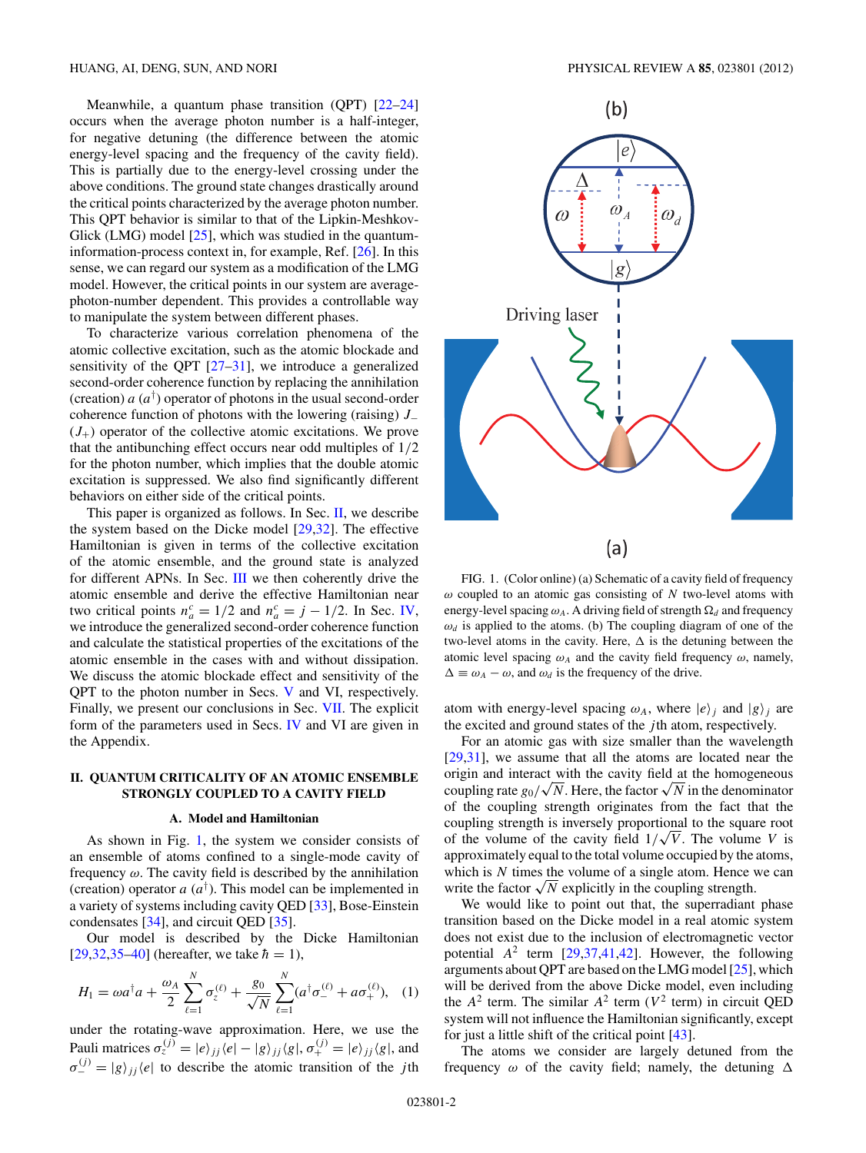Meanwhile, a quantum phase transition (QPT)  $[22-24]$ occurs when the average photon number is a half-integer, for negative detuning (the difference between the atomic energy-level spacing and the frequency of the cavity field). This is partially due to the energy-level crossing under the above conditions. The ground state changes drastically around the critical points characterized by the average photon number. This QPT behavior is similar to that of the Lipkin-Meshkov-Glick (LMG) model [\[25\]](#page-11-0), which was studied in the quantuminformation-process context in, for example, Ref. [\[26\]](#page-11-0). In this sense, we can regard our system as a modification of the LMG model. However, the critical points in our system are averagephoton-number dependent. This provides a controllable way to manipulate the system between different phases.

To characterize various correlation phenomena of the atomic collective excitation, such as the atomic blockade and sensitivity of the QPT [\[27–31\]](#page-11-0), we introduce a generalized second-order coherence function by replacing the annihilation (creation)  $a(a^{\dagger})$  operator of photons in the usual second-order coherence function of photons with the lowering (raising) *J*<sup>−</sup>  $(J<sub>+</sub>)$  operator of the collective atomic excitations. We prove that the antibunching effect occurs near odd multiples of 1*/*2 for the photon number, which implies that the double atomic excitation is suppressed. We also find significantly different behaviors on either side of the critical points.

This paper is organized as follows. In Sec. II, we describe the system based on the Dicke model [\[29,32\]](#page-11-0). The effective Hamiltonian is given in terms of the collective excitation of the atomic ensemble, and the ground state is analyzed for different APNs. In Sec. [III](#page-3-0) we then coherently drive the atomic ensemble and derive the effective Hamiltonian near two critical points  $n_a^c = 1/2$  and  $n_a^c = j - 1/2$ . In Sec. [IV,](#page-6-0) we introduce the generalized second-order coherence function and calculate the statistical properties of the excitations of the atomic ensemble in the cases with and without dissipation. We discuss the atomic blockade effect and sensitivity of the QPT to the photon number in Secs. [V](#page-7-0) and VI, respectively. Finally, we present our conclusions in Sec. [VII.](#page-9-0) The explicit form of the parameters used in Secs. [IV](#page-6-0) and VI are given in the Appendix.

# **II. QUANTUM CRITICALITY OF AN ATOMIC ENSEMBLE STRONGLY COUPLED TO A CAVITY FIELD**

### **A. Model and Hamiltonian**

As shown in Fig. 1, the system we consider consists of an ensemble of atoms confined to a single-mode cavity of frequency *ω*. The cavity field is described by the annihilation (creation) operator  $a(a^{\dagger})$ . This model can be implemented in a variety of systems including cavity QED [\[33\]](#page-11-0), Bose-Einstein condensates [\[34\]](#page-11-0), and circuit QED [\[35\]](#page-11-0).

Our model is described by the Dicke Hamiltonian  $[29,32,35-40]$  (hereafter, we take  $\hbar = 1$ ),

$$
H_1 = \omega a^{\dagger} a + \frac{\omega_A}{2} \sum_{\ell=1}^{N} \sigma_z^{(\ell)} + \frac{g_0}{\sqrt{N}} \sum_{\ell=1}^{N} (a^{\dagger} \sigma_-^{(\ell)} + a \sigma_+^{(\ell)}), \quad (1)
$$

under the rotating-wave approximation. Here, we use the Pauli matrices  $\sigma_z^{(j)} = |e\rangle_{jj} \langle e| - |g\rangle_{jj} \langle g|, \sigma_+^{(j)} = |e\rangle_{jj} \langle g|$ , and  $\sigma_{-}^{(j)} = |g\rangle_{jj} \langle e|$  to describe the atomic transition of the *j*th



FIG. 1. (Color online) (a) Schematic of a cavity field of frequency *ω* coupled to an atomic gas consisting of *N* two-level atoms with energy-level spacing  $\omega_A$ . A driving field of strength  $\Omega_d$  and frequency  $\omega_d$  is applied to the atoms. (b) The coupling diagram of one of the two-level atoms in the cavity. Here,  $\Delta$  is the detuning between the atomic level spacing  $\omega_A$  and the cavity field frequency  $\omega$ , namely,  $\Delta \equiv \omega_A - \omega$ , and  $\omega_d$  is the frequency of the drive.

atom with energy-level spacing  $\omega_A$ , where  $|e\rangle_j$  and  $|g\rangle_j$  are the excited and ground states of the *j* th atom, respectively.

For an atomic gas with size smaller than the wavelength [\[29,31\]](#page-11-0), we assume that all the atoms are located near the origin and interact with the cavity field at the homogeneous origin and interact with the cavity field at the homogeneous coupling rate  $g_0/\sqrt{N}$ . Here, the factor  $\sqrt{N}$  in the denominator of the coupling strength originates from the fact that the coupling strength is inversely proportional to the square root coupling strength is inversely proportional to the square root of the volume of the cavity field  $1/\sqrt{V}$ . The volume *V* is approximately equal to the total volume occupied by the atoms, which is *N* times the volume of a single atom. Hence we can write the factor  $\sqrt{N}$  explicitly in the coupling strength.

We would like to point out that, the superradiant phase transition based on the Dicke model in a real atomic system does not exist due to the inclusion of electromagnetic vector potential  $A^2$  term  $[29,37,41,42]$ . However, the following arguments about QPT are based on the LMG model [\[25\]](#page-11-0), which will be derived from the above Dicke model, even including the  $A^2$  term. The similar  $A^2$  term ( $V^2$  term) in circuit QED system will not influence the Hamiltonian significantly, except for just a little shift of the critical point [\[43\]](#page-11-0).

The atoms we consider are largely detuned from the frequency  $\omega$  of the cavity field; namely, the detuning  $\Delta$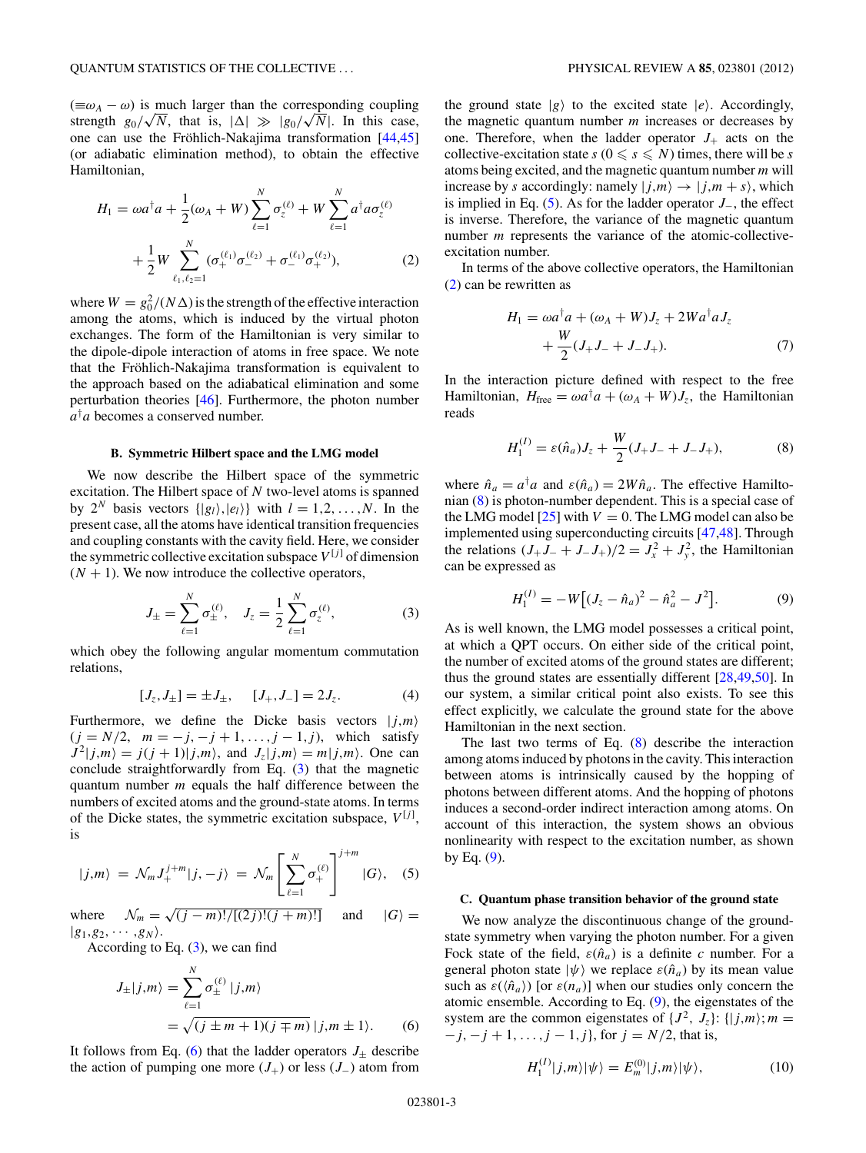<span id="page-2-0"></span> $(\equiv \omega_A - \omega)$  is much larger than the corresponding coupling  $(\equiv \omega_A - \omega)$  is much larger than the corresponding coupling<br>strength  $g_0/\sqrt{N}$ , that is,  $|\Delta| \gg |g_0/\sqrt{N}|$ . In this case, one can use the Fröhlich-Nakajima transformation  $[44, 45]$ (or adiabatic elimination method), to obtain the effective Hamiltonian,

$$
H_1 = \omega a^{\dagger} a + \frac{1}{2} (\omega_A + W) \sum_{\ell=1}^{N} \sigma_{z}^{(\ell)} + W \sum_{\ell=1}^{N} a^{\dagger} a \sigma_{z}^{(\ell)} + \frac{1}{2} W \sum_{\ell_1, \ell_2 = 1}^{N} (\sigma_{+}^{(\ell_1)} \sigma_{-}^{(\ell_2)} + \sigma_{-}^{(\ell_1)} \sigma_{+}^{(\ell_2)}),
$$
(2)

where  $W = g_0^2/(N\Delta)$  is the strength of the effective interaction among the atoms, which is induced by the virtual photon exchanges. The form of the Hamiltonian is very similar to the dipole-dipole interaction of atoms in free space. We note that the Fröhlich-Nakajima transformation is equivalent to the approach based on the adiabatical elimination and some perturbation theories [\[46\]](#page-11-0). Furthermore, the photon number *a*† *a* becomes a conserved number.

### **B. Symmetric Hilbert space and the LMG model**

We now describe the Hilbert space of the symmetric excitation. The Hilbert space of *N* two-level atoms is spanned by  $2^N$  basis vectors  $\{|g_l\rangle, |e_l\rangle\}$  with  $l = 1, 2, \ldots, N$ . In the present case, all the atoms have identical transition frequencies and coupling constants with the cavity field. Here, we consider the symmetric collective excitation subspace  $V^{[j]}$  of dimension  $(N + 1)$ . We now introduce the collective operators,

$$
J_{\pm} = \sum_{\ell=1}^{N} \sigma_{\pm}^{(\ell)}, \quad J_{z} = \frac{1}{2} \sum_{\ell=1}^{N} \sigma_{z}^{(\ell)}, \tag{3}
$$

which obey the following angular momentum commutation relations,

$$
[J_z, J_{\pm}] = \pm J_{\pm}, \quad [J_+, J_-] = 2J_z. \tag{4}
$$

Furthermore, we define the Dicke basis vectors  $|j,m\rangle$  $(j = N/2, m = -j, -j + 1, \ldots, j - 1, j)$ , which satisfy  $J^2|j,m\rangle = j(j+1)|j,m\rangle$ , and  $J_z|j,m\rangle = m|j,m\rangle$ . One can conclude straightforwardly from Eq. (3) that the magnetic quantum number *m* equals the half difference between the numbers of excited atoms and the ground-state atoms. In terms of the Dicke states, the symmetric excitation subspace, *V* [*<sup>j</sup>* ] , is

$$
|j,m\rangle = \mathcal{N}_m J_+^{j+m} |j,-j\rangle = \mathcal{N}_m \left[ \sum_{\ell=1}^N \sigma_+^{(\ell)} \right]^{j+m} |G\rangle, \quad (5)
$$

where  $\mathcal{N}_m = \sqrt{(j-m)!/[ (2j)! (j+m)!]}$  and  $|G\rangle =$  $|g_1, g_2, \cdots, g_N\rangle$ .

According to Eq.  $(3)$ , we can find

$$
J_{\pm}|j,m\rangle = \sum_{\ell=1}^{N} \sigma_{\pm}^{(\ell)} |j,m\rangle
$$
  
=  $\sqrt{(j \pm m + 1)(j \mp m)} |j,m \pm 1\rangle.$  (6)

It follows from Eq. (6) that the ladder operators  $J_{\pm}$  describe the action of pumping one more  $(J_{+})$  or less  $(J_{-})$  atom from the ground state  $|g\rangle$  to the excited state  $|e\rangle$ . Accordingly, the magnetic quantum number *m* increases or decreases by one. Therefore, when the ladder operator  $J_{+}$  acts on the collective-excitation state  $s$  ( $0 \le s \le N$ ) times, there will be *s* atoms being excited, and the magnetic quantum number *m* will increase by *s* accordingly: namely  $|i,m\rangle \rightarrow |j,m+s\rangle$ , which is implied in Eq. (5). As for the ladder operator *J*−, the effect is inverse. Therefore, the variance of the magnetic quantum number *m* represents the variance of the atomic-collectiveexcitation number.

In terms of the above collective operators, the Hamiltonian (2) can be rewritten as

$$
H_1 = \omega a^{\dagger} a + (\omega_A + W) J_z + 2W a^{\dagger} a J_z
$$
  
+ 
$$
\frac{W}{2} (J_+ J_- + J_- J_+).
$$
 (7)

In the interaction picture defined with respect to the free Hamiltonian,  $H_{\text{free}} = \omega a^{\dagger} a + (\omega_A + W) J_z$ , the Hamiltonian reads

$$
H_1^{(I)} = \varepsilon(\hat{n}_a)J_z + \frac{W}{2}(J_+J_- + J_-J_+),\tag{8}
$$

where  $\hat{n}_a = a^{\dagger}a$  and  $\varepsilon(\hat{n}_a) = 2W\hat{n}_a$ . The effective Hamiltonian (8) is photon-number dependent. This is a special case of the LMG model  $[25]$  with  $V = 0$ . The LMG model can also be implemented using superconducting circuits [\[47,48\]](#page-11-0). Through the relations  $(J_+ J_- + J_- J_+)/2 = J_x^2 + J_y^2$ , the Hamiltonian can be expressed as

$$
H_1^{(I)} = -W[(J_z - \hat{n}_a)^2 - \hat{n}_a^2 - J^2].
$$
 (9)

As is well known, the LMG model possesses a critical point, at which a QPT occurs. On either side of the critical point, the number of excited atoms of the ground states are different; thus the ground states are essentially different [\[28,49,50\]](#page-11-0). In our system, a similar critical point also exists. To see this effect explicitly, we calculate the ground state for the above Hamiltonian in the next section.

The last two terms of Eq. (8) describe the interaction among atoms induced by photons in the cavity. This interaction between atoms is intrinsically caused by the hopping of photons between different atoms. And the hopping of photons induces a second-order indirect interaction among atoms. On account of this interaction, the system shows an obvious nonlinearity with respect to the excitation number, as shown by Eq.  $(9)$ .

### **C. Quantum phase transition behavior of the ground state**

We now analyze the discontinuous change of the groundstate symmetry when varying the photon number. For a given Fock state of the field,  $\varepsilon(\hat{n}_a)$  is a definite *c* number. For a general photon state  $|\psi\rangle$  we replace  $\varepsilon(\hat{n}_a)$  by its mean value such as  $\varepsilon(\langle \hat{n}_a \rangle)$  [or  $\varepsilon(n_a)$ ] when our studies only concern the atomic ensemble. According to Eq. (9), the eigenstates of the system are the common eigenstates of  $\{J^2, J_z\}$ :  $\{|j,m\rangle; m =$ −*j,* −*j* + 1*, . . . ,j* − 1*,j* }, for *j* = *N/*2, that is,

$$
H_1^{(I)}|j,m\rangle|\psi\rangle = E_m^{(0)}|j,m\rangle|\psi\rangle,\tag{10}
$$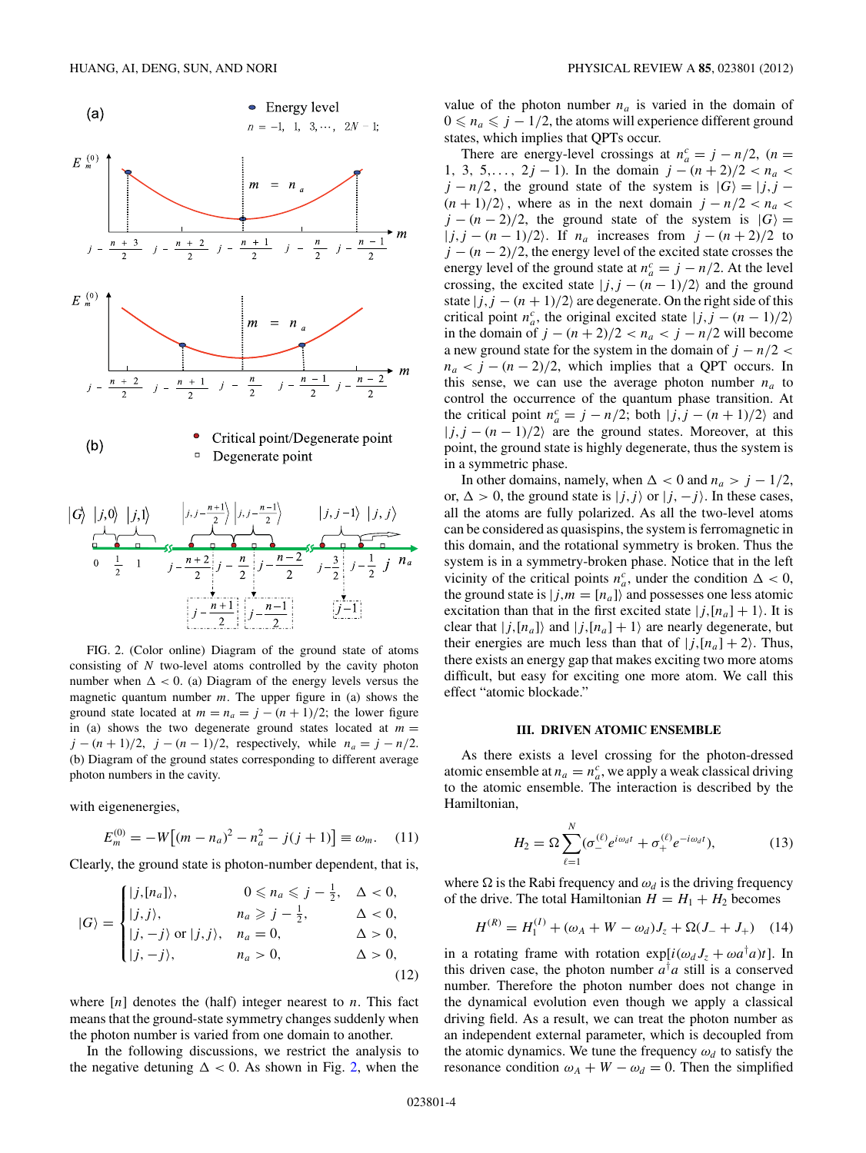<span id="page-3-0"></span>

FIG. 2. (Color online) Diagram of the ground state of atoms consisting of *N* two-level atoms controlled by the cavity photon number when  $\Delta$  < 0. (a) Diagram of the energy levels versus the magnetic quantum number *m*. The upper figure in (a) shows the ground state located at  $m = n_a = j - (n + 1)/2$ ; the lower figure in (a) shows the two degenerate ground states located at  $m =$ *j* − (*n* + 1)/2, *j* − (*n* − 1)/2, respectively, while  $n_a = j - n/2$ . (b) Diagram of the ground states corresponding to different average photon numbers in the cavity.

with eigenenergies,

$$
E_m^{(0)} = -W[(m - n_a)^2 - n_a^2 - j(j + 1)] \equiv \omega_m. \quad (11)
$$

Clearly, the ground state is photon-number dependent, that is,

$$
|G\rangle = \begin{cases} |j, [n_a] \rangle, & 0 \le n_a \le j - \frac{1}{2}, & \Delta < 0, \\ |j, j \rangle, & n_a \ge j - \frac{1}{2}, & \Delta < 0, \\ |j, -j \rangle \text{ or } |j, j \rangle, & n_a = 0, & \Delta > 0, \\ |j, -j \rangle, & n_a > 0, & \Delta > 0, \end{cases}
$$
(12)

where [*n*] denotes the (half) integer nearest to *n*. This fact means that the ground-state symmetry changes suddenly when the photon number is varied from one domain to another.

In the following discussions, we restrict the analysis to the negative detuning  $\Delta < 0$ . As shown in Fig. 2, when the value of the photon number  $n_a$  is varied in the domain of  $0 \le n_a \le j - 1/2$ , the atoms will experience different ground states, which implies that QPTs occur.

There are energy-level crossings at  $n_a^c = j - n/2$ ,  $(n =$ 1, 3, 5,...,  $2j - 1$ ). In the domain  $j - (n + 2)/2 < n_a$  $j - n/2$ , the ground state of the system is  $|G\rangle = |j, j - 1|$  $(n + 1)/2$ , where as in the next domain  $j - n/2 < n_a$  $j - (n - 2)/2$ , the ground state of the system is  $|G\rangle =$ |*j,j* − (*n* − 1)*/*2. If *na* increases from *j* − (*n* + 2)*/*2 to *j* − (*n* − 2)/2, the energy level of the excited state crosses the energy level of the ground state at  $n_a^c = j - n/2$ . At the level crossing, the excited state  $|j, j - (n - 1)/2\rangle$  and the ground state  $|j,j - (n + 1)/2\rangle$  are degenerate. On the right side of this critical point  $n_a^c$ , the original excited state  $|j, j - (n - 1)/2\rangle$ in the domain of *j* −  $(n + 2)/2 < n_a < j - n/2$  will become a new ground state for the system in the domain of  $j - n/2 <$  $n_a < j - (n - 2)/2$ , which implies that a QPT occurs. In this sense, we can use the average photon number  $n_a$  to control the occurrence of the quantum phase transition. At the critical point  $n_a^c = j - n/2$ ; both  $|j, j - (n + 1)/2\rangle$  and  $|j, j - (n - 1)/2\rangle$  are the ground states. Moreover, at this point, the ground state is highly degenerate, thus the system is in a symmetric phase.

In other domains, namely, when  $\Delta < 0$  and  $n_a > j - 1/2$ , or,  $\Delta > 0$ , the ground state is  $|j, j\rangle$  or  $|j, -j\rangle$ . In these cases, all the atoms are fully polarized. As all the two-level atoms can be considered as quasispins, the system is ferromagnetic in this domain, and the rotational symmetry is broken. Thus the system is in a symmetry-broken phase. Notice that in the left vicinity of the critical points  $n_a^c$ , under the condition  $\Delta < 0$ , the ground state is  $|j,m = [n_a]\rangle$  and possesses one less atomic excitation than that in the first excited state  $|j, [n_a] + 1$ . It is clear that  $|j,[n_a]\rangle$  and  $|j,[n_a]+1\rangle$  are nearly degenerate, but their energies are much less than that of  $|j,(n_a]+2$ . Thus, there exists an energy gap that makes exciting two more atoms difficult, but easy for exciting one more atom. We call this effect "atomic blockade."

### **III. DRIVEN ATOMIC ENSEMBLE**

As there exists a level crossing for the photon-dressed atomic ensemble at  $n_a = n_a^c$ , we apply a weak classical driving to the atomic ensemble. The interaction is described by the Hamiltonian,

$$
H_2 = \Omega \sum_{\ell=1}^{N} (\sigma_-^{(\ell)} e^{i\omega_d t} + \sigma_+^{(\ell)} e^{-i\omega_d t}), \tag{13}
$$

where  $\Omega$  is the Rabi frequency and  $\omega_d$  is the driving frequency of the drive. The total Hamiltonian  $H = H_1 + H_2$  becomes

$$
H^{(R)} = H_1^{(I)} + (\omega_A + W - \omega_d)J_z + \Omega(J_- + J_+)
$$
 (14)

in a rotating frame with rotation  $exp[i(\omega_d J_z + \omega a^{\dagger} a)t]$ . In this driven case, the photon number  $a^{\dagger}a$  still is a conserved number. Therefore the photon number does not change in the dynamical evolution even though we apply a classical driving field. As a result, we can treat the photon number as an independent external parameter, which is decoupled from the atomic dynamics. We tune the frequency  $\omega_d$  to satisfy the resonance condition  $\omega_A + W - \omega_d = 0$ . Then the simplified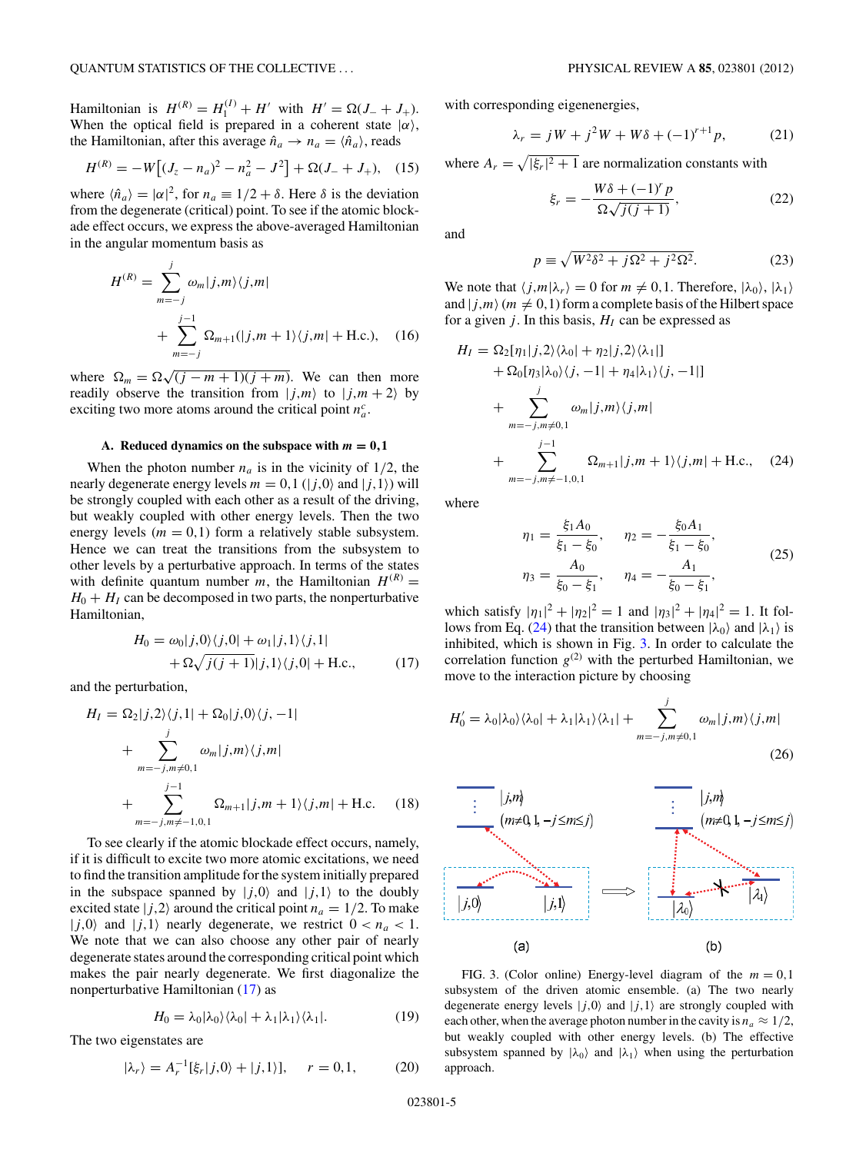<span id="page-4-0"></span>*Hamiltonian* is  $H^{(R)} = H_1^{(I)} + H'$  with  $H' = \Omega(J_- + J_+).$ When the optical field is prepared in a coherent state  $|\alpha\rangle$ , the Hamiltonian, after this average  $\hat{n}_a \rightarrow n_a = \langle \hat{n}_a \rangle$ , reads

$$
H^{(R)} = -W[(J_z - n_a)^2 - n_a^2 - J^2] + \Omega(J_- + J_+), \quad (15)
$$

where  $\langle \hat{n}_a \rangle = |\alpha|^2$ , for  $n_a \equiv 1/2 + \delta$ . Here  $\delta$  is the deviation from the degenerate (critical) point. To see if the atomic blockade effect occurs, we express the above-averaged Hamiltonian in the angular momentum basis as

$$
H^{(R)} = \sum_{m=-j}^{j} \omega_m |j,m\rangle\langle j,m|
$$
  
+ 
$$
\sum_{m=-j}^{j-1} \Omega_{m+1}(|j,m+1\rangle\langle j,m| + \text{H.c.}), \quad (16)
$$

where  $\Omega_m = \Omega \sqrt{(j - m + 1)(j + m)}$ . We can then more readily observe the transition from  $|j,m\rangle$  to  $|j,m+2\rangle$  by exciting two more atoms around the critical point  $n_a^c$ .

### A. Reduced dynamics on the subspace with  $m = 0, 1$

When the photon number  $n_a$  is in the vicinity of  $1/2$ , the nearly degenerate energy levels  $m = 0, 1$  ( $|j,0\rangle$  and  $|j,1\rangle$ ) will be strongly coupled with each other as a result of the driving, but weakly coupled with other energy levels. Then the two energy levels  $(m = 0, 1)$  form a relatively stable subsystem. Hence we can treat the transitions from the subsystem to other levels by a perturbative approach. In terms of the states with definite quantum number *m*, the Hamiltonian  $H^{(R)}$  =  $H_0 + H_1$  can be decomposed in two parts, the nonperturbative Hamiltonian,

$$
H_0 = \omega_0 |j,0\rangle\langle j,0| + \omega_1 |j,1\rangle\langle j,1|
$$
  
+  $\Omega \sqrt{j(j+1)}|j,1\rangle\langle j,0| + \text{H.c.},$  (17)

and the perturbation,

$$
H_{I} = \Omega_{2}|j,2\rangle\langle j,1| + \Omega_{0}|j,0\rangle\langle j,-1|
$$
  
+ 
$$
\sum_{m=-j,m\neq0,1}^{j} \omega_{m}|j,m\rangle\langle j,m|
$$
  
+ 
$$
\sum_{m=-j,m\neq-1,0,1}^{j-1} \Omega_{m+1}|j,m+1\rangle\langle j,m|
$$
 + H.c. (18)

To see clearly if the atomic blockade effect occurs, namely, if it is difficult to excite two more atomic excitations, we need to find the transition amplitude for the system initially prepared in the subspace spanned by  $|j,0\rangle$  and  $|j,1\rangle$  to the doubly excited state  $|j,2\rangle$  around the critical point  $n_a = 1/2$ . To make  $|j,0\rangle$  and  $|j,1\rangle$  nearly degenerate, we restrict  $0 < n_a < 1$ . We note that we can also choose any other pair of nearly degenerate states around the corresponding critical point which makes the pair nearly degenerate. We first diagonalize the nonperturbative Hamiltonian (17) as

$$
H_0 = \lambda_0 |\lambda_0\rangle \langle \lambda_0| + \lambda_1 |\lambda_1\rangle \langle \lambda_1|.
$$
 (19)

The two eigenstates are

$$
|\lambda_r\rangle = A_r^{-1}[\xi_r|j,0\rangle + |j,1\rangle], \quad r = 0,1,
$$
 (20)

with corresponding eigenenergies,

$$
\lambda_r = jW + j^2W + W\delta + (-1)^{r+1}p,\tag{21}
$$

where  $A_r = \sqrt{|\xi_r|^2 + 1}$  are normalization constants with

$$
\xi_r = -\frac{W\delta + (-1)^r p}{\Omega\sqrt{j(j+1)}},\tag{22}
$$

and

$$
p \equiv \sqrt{W^2 \delta^2 + j\Omega^2 + j^2 \Omega^2}.
$$
 (23)

We note that  $\langle j,m|\lambda_r\rangle = 0$  for  $m \neq 0,1$ . Therefore,  $|\lambda_0\rangle$ ,  $|\lambda_1\rangle$ and  $|j,m\rangle$  ( $m \neq 0,1$ ) form a complete basis of the Hilbert space for a given  $j$ . In this basis,  $H<sub>I</sub>$  can be expressed as

$$
H_{I} = \Omega_{2}[\eta_{1}|j,2\rangle\langle\lambda_{0}| + \eta_{2}|j,2\rangle\langle\lambda_{1}|]
$$
  
+ 
$$
\Omega_{0}[\eta_{3}|\lambda_{0}\rangle\langle j, -1| + \eta_{4}|\lambda_{1}\rangle\langle j, -1|]
$$
  
+ 
$$
\sum_{m=-j,m\neq0,1}^{j} \omega_{m}|j,m\rangle\langle j,m|
$$
  
+ 
$$
\sum_{m=-j,m\neq-1,0,1}^{j-1} \Omega_{m+1}|j,m+1\rangle\langle j,m|
$$
H.c., (24)

where

$$
\eta_1 = \frac{\xi_1 A_0}{\xi_1 - \xi_0}, \quad \eta_2 = -\frac{\xi_0 A_1}{\xi_1 - \xi_0},
$$
  

$$
\eta_3 = \frac{A_0}{\xi_0 - \xi_1}, \quad \eta_4 = -\frac{A_1}{\xi_0 - \xi_1},
$$
 (25)

which satisfy  $|\eta_1|^2 + |\eta_2|^2 = 1$  and  $|\eta_3|^2 + |\eta_4|^2 = 1$ . It follows from Eq. (24) that the transition between  $|\lambda_0\rangle$  and  $|\lambda_1\rangle$  is inhibited, which is shown in Fig. 3. In order to calculate the correlation function  $g^{(2)}$  with the perturbed Hamiltonian, we move to the interaction picture by choosing

$$
H'_{0} = \lambda_{0} |\lambda_{0}\rangle\langle\lambda_{0}| + \lambda_{1} |\lambda_{1}\rangle\langle\lambda_{1}| + \sum_{m=-j,m\neq0,1}^{j} \omega_{m} |j,m\rangle\langle j,m|
$$
\n(26)



FIG. 3. (Color online) Energy-level diagram of the  $m = 0,1$ subsystem of the driven atomic ensemble. (a) The two nearly degenerate energy levels  $|j,0\rangle$  and  $|j,1\rangle$  are strongly coupled with each other, when the average photon number in the cavity is  $n_a \approx 1/2$ , but weakly coupled with other energy levels. (b) The effective subsystem spanned by  $|\lambda_0\rangle$  and  $|\lambda_1\rangle$  when using the perturbation approach.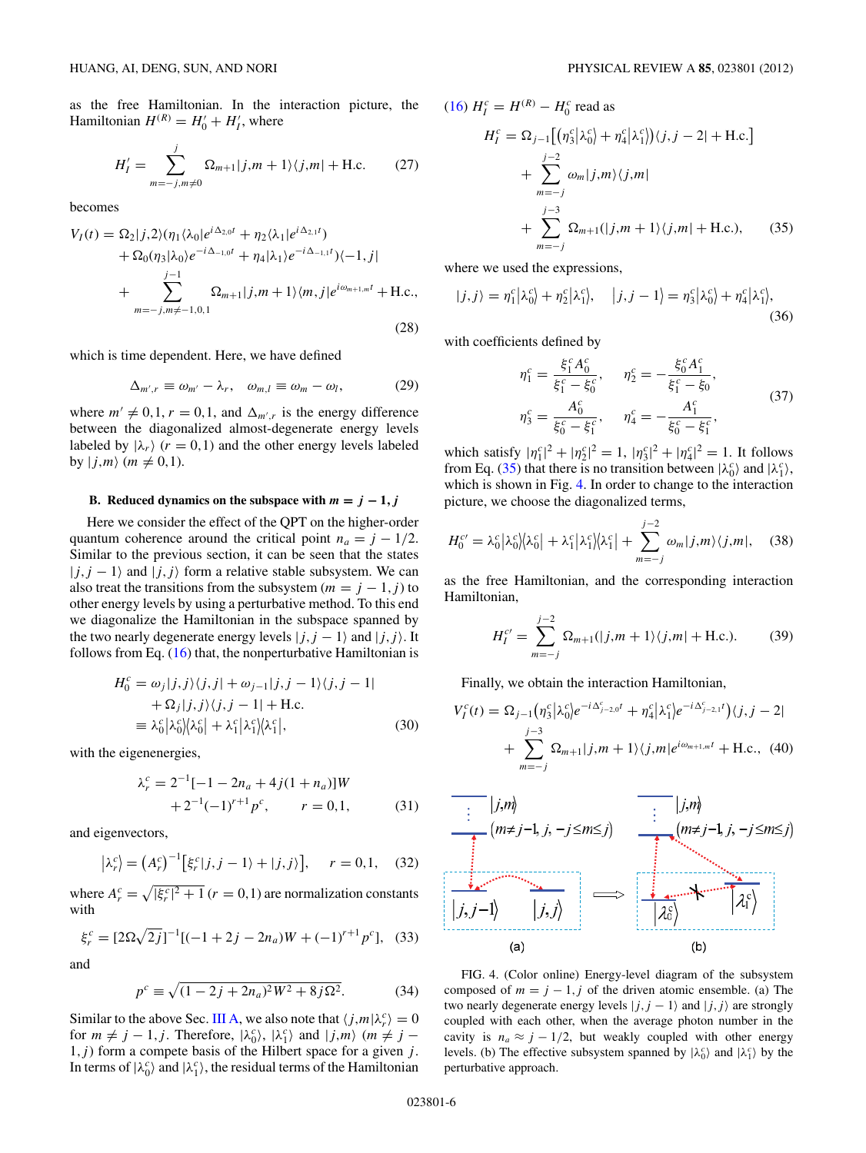<span id="page-5-0"></span>as the free Hamiltonian. In the interaction picture, the Hamiltonian  $H^{(R)} = H'_0 + H'_I$ , where

$$
H'_{I} = \sum_{m=-j,m \neq 0}^{j} \Omega_{m+1} |j,m+1\rangle \langle j,m| + \text{H.c.}
$$
 (27)

becomes

$$
V_I(t) = \Omega_2|j,2\rangle(\eta_1\langle\lambda_0|e^{i\Delta_{2,0}t} + \eta_2\langle\lambda_1|e^{i\Delta_{2,1}t})
$$
  
+ 
$$
\Omega_0(\eta_3|\lambda_0)e^{-i\Delta_{-1,0}t} + \eta_4|\lambda_1\rangle e^{-i\Delta_{-1,1}t}\rangle\langle-1,j|
$$
  
+ 
$$
\sum_{m=-j,m\neq-1,0,1}^{\qquad j-1} \Omega_{m+1}|j,m+1\rangle\langle m,j|e^{i\omega_{m+1,m}t} + \text{H.c.},
$$
(28)

which is time dependent. Here, we have defined

$$
\Delta_{m',r} \equiv \omega_{m'} - \lambda_r, \quad \omega_{m,l} \equiv \omega_m - \omega_l, \tag{29}
$$

where  $m' \neq 0, 1, r = 0, 1$ , and  $\Delta_{m',r}$  is the energy difference between the diagonalized almost-degenerate energy levels labeled by  $|\lambda_r\rangle$  ( $r = 0,1$ ) and the other energy levels labeled by  $|j,m\rangle$  (*m*  $\neq$  0,1).

## **B.** Reduced dynamics on the subspace with  $m = j - 1, j$

Here we consider the effect of the QPT on the higher-order quantum coherence around the critical point  $n_a = j - 1/2$ . Similar to the previous section, it can be seen that the states  $|j, j - 1\rangle$  and  $|j, j\rangle$  form a relative stable subsystem. We can also treat the transitions from the subsystem ( $m = j - 1, j$ ) to other energy levels by using a perturbative method. To this end we diagonalize the Hamiltonian in the subspace spanned by the two nearly degenerate energy levels  $|j, j - 1\rangle$  and  $|j, j\rangle$ . It follows from Eq.  $(16)$  that, the nonperturbative Hamiltonian is

$$
H_0^c = \omega_j |j, j\rangle\langle j, j| + \omega_{j-1} |j, j - 1\rangle\langle j, j - 1|
$$
  
+  $\Omega_j |j, j\rangle\langle j, j - 1|$  + H.c.  
=  $\lambda_0^c |\lambda_0^c| \lambda_0^c| + \lambda_1^c |\lambda_1^c| \lambda_1^c|$ , (30)

with the eigenenergies,

$$
\lambda_r^c = 2^{-1}[-1 - 2n_a + 4j(1 + n_a)]W + 2^{-1}(-1)^{r+1}p^c, \qquad r = 0, 1,
$$
 (31)

and eigenvectors,

$$
\left|\lambda_r^c\right| = \left(A_r^c\right)^{-1} \left[\xi_r^c|j, j-1\rangle + |j, j\rangle\right], \quad r = 0, 1, \quad (32)
$$

where  $A_r^c = \sqrt{|\xi_r^c|^2 + 1}$  ( $r = 0, 1$ ) are normalization constants with

$$
\xi_r^c = [2\Omega\sqrt{2j}]^{-1}[(-1+2j-2n_a)W + (-1)^{r+1}p^c],
$$
 (33)

and

$$
p^{c} \equiv \sqrt{(1 - 2j + 2n_{a})^{2}W^{2} + 8j\Omega^{2}}.
$$
 (34)

Similar to the above Sec. [III A,](#page-4-0) we also note that  $\langle j,m|\lambda_r^c\rangle = 0$ for  $m \neq j - 1, j$ . Therefore,  $|\lambda_0^c\rangle$ ,  $|\lambda_1^c\rangle$  and  $|j,m\rangle$   $(m \neq j - 1)$ 1*,j* ) form a compete basis of the Hilbert space for a given *j* . In terms of  $|\lambda_0^c\rangle$  and  $|\lambda_1^c\rangle$ , the residual terms of the Hamiltonian

$$
(16) H_I^c = H^{(R)} - H_0^c \text{ read as}
$$
  
\n
$$
H_I^c = \Omega_{j-1} \Big[ \big( \eta_3^c | \lambda_0^c \big) + \eta_4^c | \lambda_1^c \big) \big\langle j, j - 2 \big| + \text{H.c.} \Big]
$$
  
\n
$$
+ \sum_{m=-j}^{j-2} \omega_m |j, m \rangle \langle j, m|
$$
  
\n
$$
+ \sum_{m=-j}^{j-3} \Omega_{m+1}(|j, m + 1 \rangle \langle j, m| + \text{H.c.}), \qquad (35)
$$

where we used the expressions,

$$
|j,j\rangle = \eta_1^c |\lambda_0^c\rangle + \eta_2^c |\lambda_1^c\rangle, \quad |j,j-1\rangle = \eta_3^c |\lambda_0^c\rangle + \eta_4^c |\lambda_1^c\rangle, \tag{36}
$$

with coefficients defined by

$$
\eta_1^c = \frac{\xi_1^c A_0^c}{\xi_1^c - \xi_0^c}, \qquad \eta_2^c = -\frac{\xi_0^c A_1^c}{\xi_1^c - \xi_0},
$$
  

$$
\eta_3^c = \frac{A_0^c}{\xi_0^c - \xi_1^c}, \qquad \eta_4^c = -\frac{A_1^c}{\xi_0^c - \xi_1^c},
$$
 (37)

which satisfy  $|\eta_1^c|^2 + |\eta_2^c|^2 = 1$ ,  $|\eta_3^c|^2 + |\eta_4^c|^2 = 1$ . It follows from Eq. (35) that there is no transition between  $|\lambda_0^c\rangle$  and  $|\lambda_1^c\rangle$ , which is shown in Fig. 4. In order to change to the interaction picture, we choose the diagonalized terms,

$$
H_0^{c'} = \lambda_0^c |\lambda_0^{c'}|\langle \lambda_0^{c} | + \lambda_1^{c} |\lambda_1^{c'}|\langle \lambda_1^{c} | + \sum_{m=-j}^{j-2} \omega_m |j,m\rangle \langle j,m|, \quad (38)
$$

as the free Hamiltonian, and the corresponding interaction Hamiltonian,

$$
H_I^{c'} = \sum_{m=-j}^{j-2} \Omega_{m+1}(|j,m+1\rangle\langle j,m| + \text{H.c.}).
$$
 (39)

Finally, we obtain the interaction Hamiltonian, *e*−*ic*

$$
V_I^c(t) = \Omega_{j-1} \left( \eta_3^c \middle| \lambda_0^c \right) e^{-i \Delta_{j-2,0}^c t} + \eta_4^c \middle| \lambda_1^c \right) e^{-i \Delta_{j-2,1}^c t} \rangle \langle j, j - 2 \mid
$$
  
+ 
$$
\sum_{m=-j}^{j-3} \Omega_{m+1} \middle| j, m + 1 \rangle \langle j, m \middle| e^{i \omega_{m+1,m} t} + \text{H.c.}, \text{ (40)}
$$



FIG. 4. (Color online) Energy-level diagram of the subsystem composed of  $m = j - 1, j$  of the driven atomic ensemble. (a) The two nearly degenerate energy levels  $|j, j - 1\rangle$  and  $|j, j\rangle$  are strongly coupled with each other, when the average photon number in the cavity is  $n_a \approx j - 1/2$ , but weakly coupled with other energy levels. (b) The effective subsystem spanned by  $|\lambda_0^c\rangle$  and  $|\lambda_1^c\rangle$  by the perturbative approach.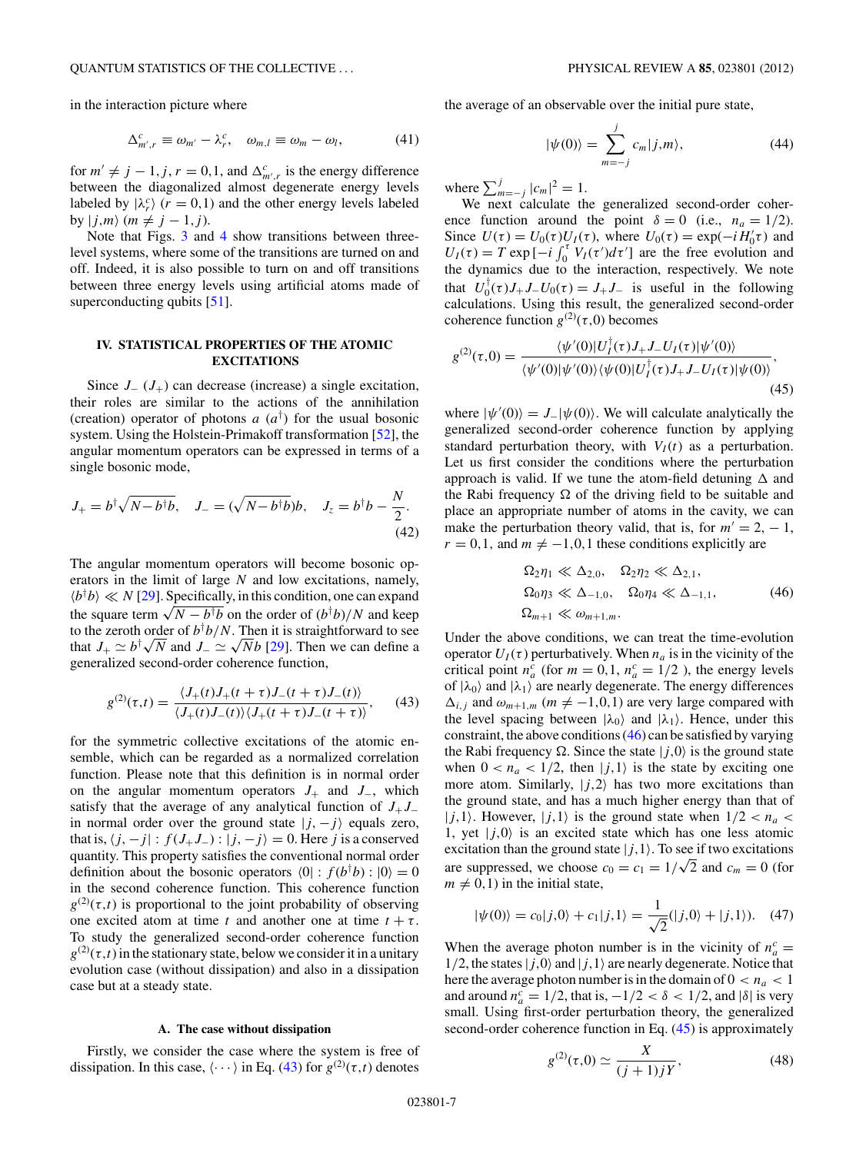<span id="page-6-0"></span>in the interaction picture where

$$
\Delta_{m',r}^c \equiv \omega_{m'} - \lambda_r^c, \quad \omega_{m,l} \equiv \omega_m - \omega_l,
$$
 (41)

for  $m' \neq j - 1, j, r = 0, 1$ , and  $\Delta_{m',r}^c$  is the energy difference between the diagonalized almost degenerate energy levels labeled by  $|\lambda_r^c\rangle$  ( $r = 0,1$ ) and the other energy levels labeled by  $|j,m\rangle$   $(m \neq j-1,j)$ .

Note that Figs. [3](#page-4-0) and [4](#page-5-0) show transitions between threelevel systems, where some of the transitions are turned on and off. Indeed, it is also possible to turn on and off transitions between three energy levels using artificial atoms made of superconducting qubits [\[51\]](#page-11-0).

# **IV. STATISTICAL PROPERTIES OF THE ATOMIC EXCITATIONS**

Since  $J_-(J_+)$  can decrease (increase) a single excitation, their roles are similar to the actions of the annihilation (creation) operator of photons *a* (*a*† ) for the usual bosonic system. Using the Holstein-Primakoff transformation [\[52\]](#page-11-0), the angular momentum operators can be expressed in terms of a single bosonic mode,

$$
J_{+} = b^{\dagger} \sqrt{N - b^{\dagger} b}, \quad J_{-} = (\sqrt{N - b^{\dagger} b})b, \quad J_{z} = b^{\dagger} b - \frac{N}{2}.
$$
\n(42)

The angular momentum operators will become bosonic operators in the limit of large *N* and low excitations, namely,  $\langle b^\dagger b \rangle \ll N$  [\[29\]](#page-11-0). Specifically, in this condition, one can expand  $\langle b^{\dagger}b \rangle \ll N$  [29]. Specifically, in this condition, one can expand<br>the square term  $\sqrt{N - b^{\dagger}b}$  on the order of  $(b^{\dagger}b)/N$  and keep to the zeroth order of  $b^{\dagger}b/N$ . Then it is straightforward to see to the zeroth order of  $b^{\dagger}b/N$ . Then it is straightforward to see<br>that  $J_+ \simeq b^{\dagger}\sqrt{N}$  and  $J_- \simeq \sqrt{N}b$  [\[29\]](#page-11-0). Then we can define a generalized second-order coherence function,

$$
g^{(2)}(\tau,t) = \frac{\langle J_+(t)J_+(t+\tau)J_-(t+\tau)J_-(t)\rangle}{\langle J_+(t)J_-(t)\rangle\langle J_+(t+\tau)J_-(t+\tau)\rangle},\qquad(43)
$$

for the symmetric collective excitations of the atomic ensemble, which can be regarded as a normalized correlation function. Please note that this definition is in normal order on the angular momentum operators *J*<sup>+</sup> and *J*−, which satisfy that the average of any analytical function of  $J_+J_$ in normal order over the ground state  $|j, -j\rangle$  equals zero, that is,  $\langle j, -j | : f(J_+ J_-) : | j, -j \rangle = 0$ . Here *j* is a conserved quantity. This property satisfies the conventional normal order definition about the bosonic operators  $\langle 0 | : f(b^{\dagger}b) : | 0 \rangle = 0$ in the second coherence function. This coherence function  $g^{(2)}(\tau,t)$  is proportional to the joint probability of observing one excited atom at time *t* and another one at time  $t + \tau$ . To study the generalized second-order coherence function  $g^{(2)}(\tau,t)$  in the stationary state, below we consider it in a unitary evolution case (without dissipation) and also in a dissipation case but at a steady state.

### **A. The case without dissipation**

Firstly, we consider the case where the system is free of dissipation. In this case,  $\langle \cdots \rangle$  in Eq. (43) for  $g^{(2)}(\tau,t)$  denotes

the average of an observable over the initial pure state,

$$
|\psi(0)\rangle = \sum_{m=-j}^{j} c_m |j,m\rangle, \tag{44}
$$

where  $\sum_{m=-j}^{j} |c_m|^2 = 1$ .

We next calculate the generalized second-order coherence function around the point  $\delta = 0$  (i.e.,  $n_a = 1/2$ ). Since  $U(\tau) = U_0(\tau)U_I(\tau)$ , where  $U_0(\tau) = \exp(-iH'_0\tau)$  and  $U_I(\tau) = T \exp \left[-i \int_0^{\tau} V_I(\tau') d\tau'\right]$  are the free evolution and the dynamics due to the interaction, respectively. We note that  $U_0^{\dagger}(\tau)J_+J_-U_0(\tau) = J_+J_-$  is useful in the following calculations. Using this result, the generalized second-order coherence function  $g^{(2)}(\tau,0)$  becomes

$$
g^{(2)}(\tau,0) = \frac{\langle \psi'(0) | U_I^{\dagger}(\tau) J_+ J_- U_I(\tau) | \psi'(0) \rangle}{\langle \psi'(0) | \psi'(0) \rangle \langle \psi(0) | U_I^{\dagger}(\tau) J_+ J_- U_I(\tau) | \psi(0) \rangle},\tag{45}
$$

where  $|\psi'(0)\rangle = J_-|\psi(0)\rangle$ . We will calculate analytically the generalized second-order coherence function by applying standard perturbation theory, with  $V_I(t)$  as a perturbation. Let us first consider the conditions where the perturbation approach is valid. If we tune the atom-field detuning  $\Delta$  and the Rabi frequency  $\Omega$  of the driving field to be suitable and place an appropriate number of atoms in the cavity, we can make the perturbation theory valid, that is, for  $m' = 2, -1$ ,  $r = 0, 1$ , and  $m \neq -1, 0, 1$  these conditions explicitly are

$$
\Omega_2 \eta_1 \ll \Delta_{2,0}, \quad \Omega_2 \eta_2 \ll \Delta_{2,1},
$$
  
\n
$$
\Omega_0 \eta_3 \ll \Delta_{-1,0}, \quad \Omega_0 \eta_4 \ll \Delta_{-1,1},
$$
  
\n
$$
\Omega_{m+1} \ll \omega_{m+1,m}.
$$
\n(46)

Under the above conditions, we can treat the time-evolution operator  $U_I(\tau)$  perturbatively. When  $n_a$  is in the vicinity of the critical point  $n_a^c$  (for  $m = 0, 1, n_a^c = 1/2$ ), the energy levels of  $|\lambda_0\rangle$  and  $|\lambda_1\rangle$  are nearly degenerate. The energy differences  $\Delta_{i,j}$  and  $\omega_{m+1,m}$  ( $m \neq -1,0,1$ ) are very large compared with the level spacing between  $|\lambda_0\rangle$  and  $|\lambda_1\rangle$ . Hence, under this constraint, the above conditions (46) can be satisfied by varying the Rabi frequency  $\Omega$ . Since the state  $|j,0\rangle$  is the ground state when  $0 < n_a < 1/2$ , then  $|j,1\rangle$  is the state by exciting one more atom. Similarly,  $|j,2\rangle$  has two more excitations than the ground state, and has a much higher energy than that of  $|j,1\rangle$ . However,  $|j,1\rangle$  is the ground state when  $1/2 < n_a <$ 1, yet  $|j,0\rangle$  is an excited state which has one less atomic excitation than the ground state  $|j,1\rangle$ . To see if two excitations excitation than the ground state  $|J, 1\rangle$ . To see if two excitations are suppressed, we choose  $c_0 = c_1 = 1/\sqrt{2}$  and  $c_m = 0$  (for  $m \neq 0, 1$  in the initial state,

$$
|\psi(0)\rangle = c_0|j,0\rangle + c_1|j,1\rangle = \frac{1}{\sqrt{2}}(|j,0\rangle + |j,1\rangle). \quad (47)
$$

When the average photon number is in the vicinity of  $n_a^c$  =  $1/2$ , the states  $|j,0\rangle$  and  $|j,1\rangle$  are nearly degenerate. Notice that here the average photon number is in the domain of  $0 < n_a < 1$ and around  $n_a^c = 1/2$ , that is,  $-1/2 < \delta < 1/2$ , and  $|\delta|$  is very small. Using first-order perturbation theory, the generalized second-order coherence function in Eq.  $(45)$  is approximately

$$
g^{(2)}(\tau,0) \simeq \frac{X}{(j+1)jY},
$$
\n(48)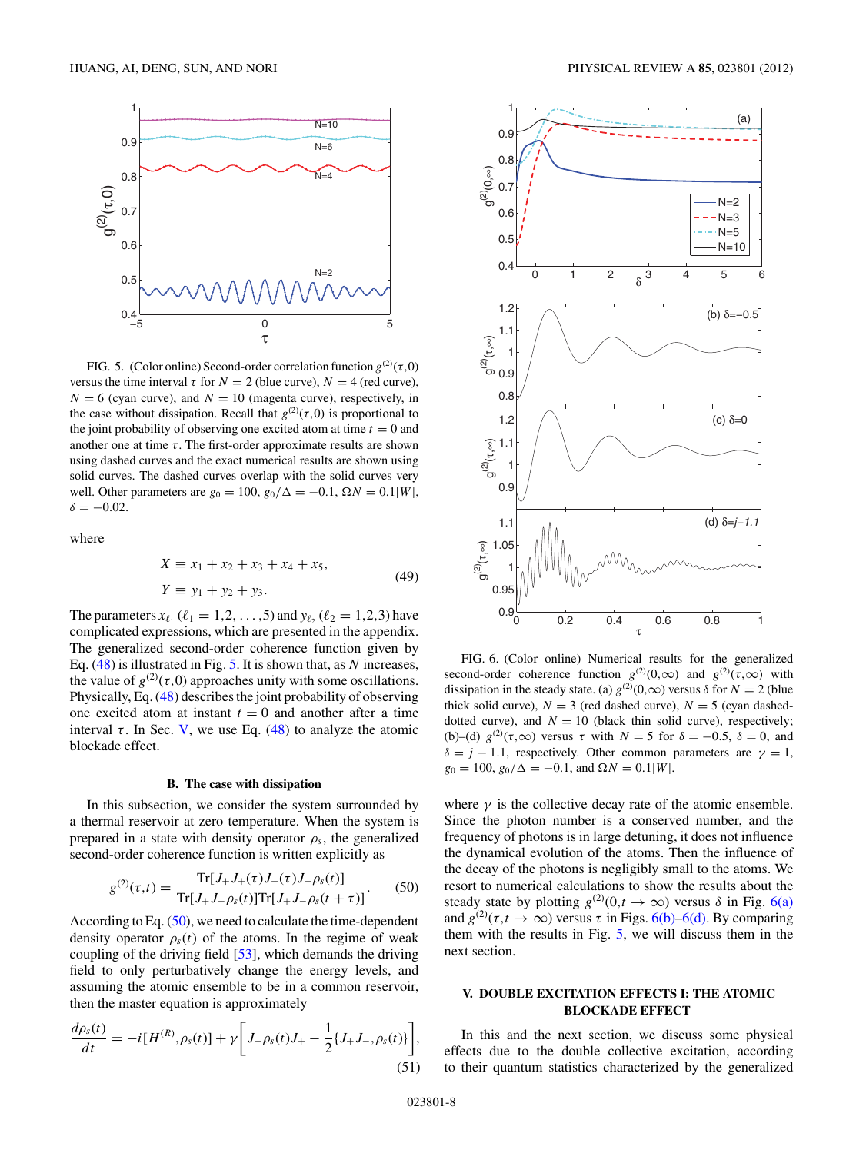<span id="page-7-0"></span>

FIG. 5. (Color online) Second-order correlation function  $g^{(2)}(\tau,0)$ versus the time interval  $\tau$  for  $N = 2$  (blue curve),  $N = 4$  (red curve),  $N = 6$  (cyan curve), and  $N = 10$  (magenta curve), respectively, in the case without dissipation. Recall that  $g^{(2)}(\tau,0)$  is proportional to the joint probability of observing one excited atom at time  $t = 0$  and another one at time  $\tau$ . The first-order approximate results are shown using dashed curves and the exact numerical results are shown using solid curves. The dashed curves overlap with the solid curves very well. Other parameters are *g*<sub>0</sub> = 100, *g*<sub>0</sub>/Δ = −0*.*1, Ω*N* = 0*.*1|*W*|,  $\delta = -0.02$ .

where

$$
X \equiv x_1 + x_2 + x_3 + x_4 + x_5,
$$
  
\n
$$
Y \equiv y_1 + y_2 + y_3.
$$
\n(49)

The parameters  $x_{\ell_1}$  ( $\ell_1 = 1, 2, ..., 5$ ) and  $y_{\ell_2}$  ( $\ell_2 = 1, 2, 3$ ) have complicated expressions, which are presented in the appendix. The generalized second-order coherence function given by Eq. [\(48\)](#page-6-0) is illustrated in Fig. 5. It is shown that, as *N* increases, the value of  $g^{(2)}(\tau,0)$  approaches unity with some oscillations. Physically, Eq. [\(48\)](#page-6-0) describes the joint probability of observing one excited atom at instant  $t = 0$  and another after a time interval  $\tau$ . In Sec. V, we use Eq. [\(48\)](#page-6-0) to analyze the atomic blockade effect.

#### **B. The case with dissipation**

In this subsection, we consider the system surrounded by a thermal reservoir at zero temperature. When the system is prepared in a state with density operator  $\rho_s$ , the generalized second-order coherence function is written explicitly as

$$
g^{(2)}(\tau,t) = \frac{\text{Tr}[J_{+}J_{+}(\tau)J_{-}(\tau)J_{-}\rho_{s}(t)]}{\text{Tr}[J_{+}J_{-}\rho_{s}(t)]\text{Tr}[J_{+}J_{-}\rho_{s}(t+\tau)]}.
$$
 (50)

According to Eq. (50), we need to calculate the time-dependent density operator  $\rho_s(t)$  of the atoms. In the regime of weak coupling of the driving field [\[53\]](#page-11-0), which demands the driving field to only perturbatively change the energy levels, and assuming the atomic ensemble to be in a common reservoir, then the master equation is approximately

$$
\frac{d\rho_s(t)}{dt} = -i[H^{(R)}, \rho_s(t)] + \gamma \bigg[ J_{-\rho_s(t)} J_{+} - \frac{1}{2} \{ J_{+} J_{-}, \rho_s(t) \} \bigg],
$$
\n(51)





 $0.4$ 0.5 0.6 0.7 0.8 0.9 1

 $\mathfrak g^{(2)}$ (0, ∞)

FIG. 6. (Color online) Numerical results for the generalized second-order coherence function  $g^{(2)}(0,\infty)$  and  $g^{(2)}(\tau,\infty)$  with dissipation in the steady state. (a)  $g^{(2)}(0,\infty)$  versus  $\delta$  for  $N = 2$  (blue thick solid curve),  $N = 3$  (red dashed curve),  $N = 5$  (cyan dasheddotted curve), and  $N = 10$  (black thin solid curve), respectively; (b)–(d)  $g^{(2)}(\tau, \infty)$  versus  $\tau$  with  $N = 5$  for  $\delta = -0.5$ ,  $\delta = 0$ , and  $\delta = j - 1.1$ , respectively. Other common parameters are  $\gamma = 1$ ,  $g_0 = 100$ ,  $g_0/\Delta = -0.1$ , and  $\Omega N = 0.1|W|$ .

where  $\gamma$  is the collective decay rate of the atomic ensemble. Since the photon number is a conserved number, and the frequency of photons is in large detuning, it does not influence the dynamical evolution of the atoms. Then the influence of the decay of the photons is negligibly small to the atoms. We resort to numerical calculations to show the results about the steady state by plotting  $g^{(2)}(0,t \to \infty)$  versus  $\delta$  in Fig. 6(a) and  $g^{(2)}(\tau, t \to \infty)$  versus  $\tau$  in Figs. 6(b)–6(d). By comparing them with the results in Fig. 5, we will discuss them in the next section.

## **V. DOUBLE EXCITATION EFFECTS I: THE ATOMIC BLOCKADE EFFECT**

In this and the next section, we discuss some physical effects due to the double collective excitation, according to their quantum statistics characterized by the generalized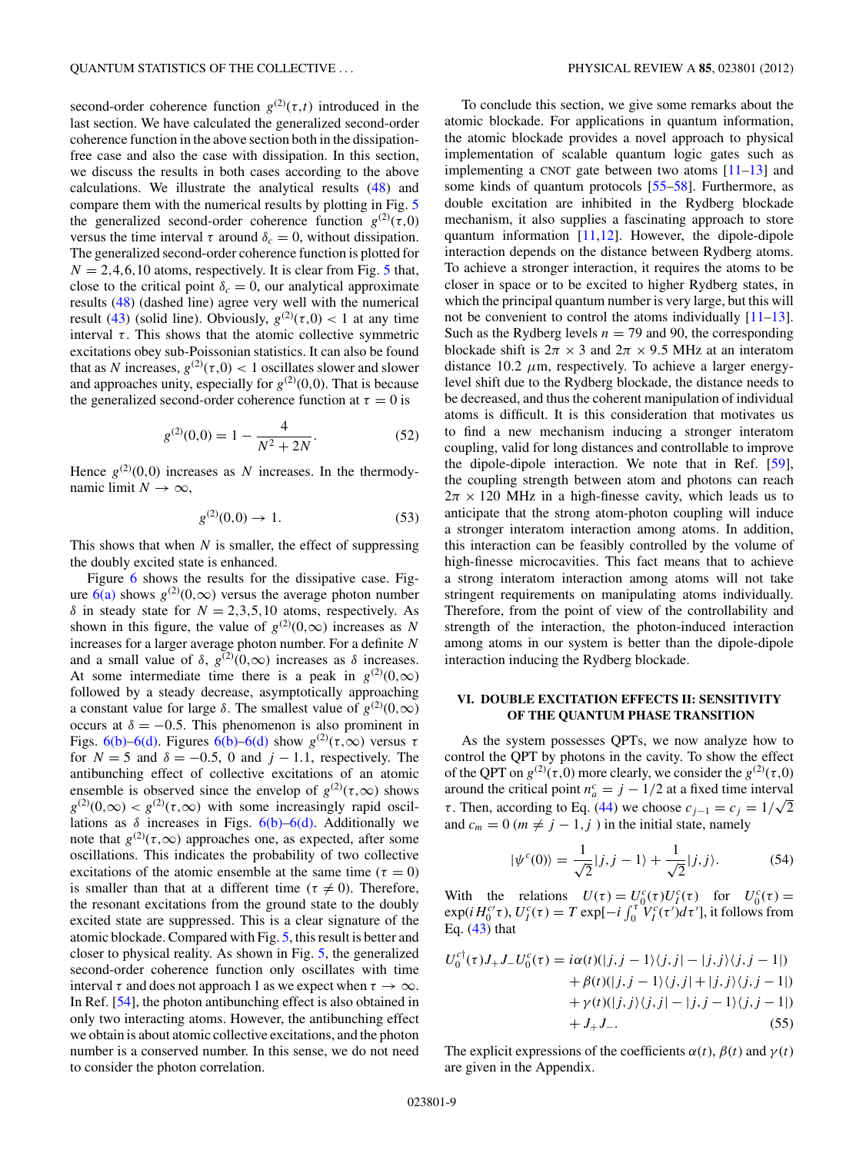second-order coherence function  $g^{(2)}(\tau,t)$  introduced in the last section. We have calculated the generalized second-order coherence function in the above section both in the dissipationfree case and also the case with dissipation. In this section, we discuss the results in both cases according to the above calculations. We illustrate the analytical results [\(48\)](#page-6-0) and compare them with the numerical results by plotting in Fig. [5](#page-7-0) the generalized second-order coherence function  $g^{(2)}(\tau,0)$ versus the time interval  $\tau$  around  $\delta_c = 0$ , without dissipation. The generalized second-order coherence function is plotted for  $N = 2,4,6,10$  atoms, respectively. It is clear from Fig. [5](#page-7-0) that, close to the critical point  $\delta_c = 0$ , our analytical approximate results [\(48\)](#page-6-0) (dashed line) agree very well with the numerical result [\(43\)](#page-6-0) (solid line). Obviously,  $g^{(2)}(\tau,0) < 1$  at any time interval  $\tau$ . This shows that the atomic collective symmetric excitations obey sub-Poissonian statistics. It can also be found that as *N* increases,  $g^{(2)}(\tau,0) < 1$  oscillates slower and slower and approaches unity, especially for  $g^{(2)}(0,0)$ . That is because the generalized second-order coherence function at  $\tau = 0$  is

$$
g^{(2)}(0,0) = 1 - \frac{4}{N^2 + 2N}.\tag{52}
$$

Hence  $g^{(2)}(0,0)$  increases as *N* increases. In the thermodynamic limit  $N \to \infty$ ,

$$
g^{(2)}(0,0) \to 1. \tag{53}
$$

This shows that when *N* is smaller, the effect of suppressing the doubly excited state is enhanced.

Figure [6](#page-7-0) shows the results for the dissipative case. Figure  $6(a)$  shows  $g^{(2)}(0,\infty)$  versus the average photon number *δ* in steady state for  $N = 2,3,5,10$  atoms, respectively. As shown in this figure, the value of  $g^{(2)}(0,\infty)$  increases as *N* increases for a larger average photon number. For a definite *N* and a small value of  $\delta$ ,  $g^{(2)}(0,\infty)$  increases as  $\delta$  increases. At some intermediate time there is a peak in  $g^{(2)}(0,\infty)$ followed by a steady decrease, asymptotically approaching a constant value for large *δ*. The smallest value of  $g^{(2)}(0, \infty)$ occurs at  $\delta = -0.5$ . This phenomenon is also prominent in Figs. [6\(b\)–6\(d\).](#page-7-0) Figures [6\(b\)–6\(d\)](#page-7-0) show  $g^{(2)}(\tau,\infty)$  versus  $\tau$ for  $N = 5$  and  $\delta = -0.5$ , 0 and  $j - 1.1$ , respectively. The antibunching effect of collective excitations of an atomic ensemble is observed since the envelop of  $g^{(2)}(\tau,\infty)$  shows  $g^{(2)}(0,\infty) < g^{(2)}(\tau,\infty)$  with some increasingly rapid oscillations as  $\delta$  increases in Figs.  $6(b)$ – $6(d)$ . Additionally we note that  $g^{(2)}(\tau,\infty)$  approaches one, as expected, after some oscillations. This indicates the probability of two collective excitations of the atomic ensemble at the same time ( $\tau = 0$ ) is smaller than that at a different time ( $\tau \neq 0$ ). Therefore, the resonant excitations from the ground state to the doubly excited state are suppressed. This is a clear signature of the atomic blockade. Compared with Fig. [5,](#page-7-0) this result is better and closer to physical reality. As shown in Fig. [5,](#page-7-0) the generalized second-order coherence function only oscillates with time interval  $\tau$  and does not approach 1 as we expect when  $\tau \to \infty$ . In Ref. [\[54\]](#page-11-0), the photon antibunching effect is also obtained in only two interacting atoms. However, the antibunching effect we obtain is about atomic collective excitations, and the photon number is a conserved number. In this sense, we do not need to consider the photon correlation.

To conclude this section, we give some remarks about the atomic blockade. For applications in quantum information, the atomic blockade provides a novel approach to physical implementation of scalable quantum logic gates such as implementing a CNOT gate between two atoms  $[11-13]$  and some kinds of quantum protocols [\[55–58\]](#page-11-0). Furthermore, as double excitation are inhibited in the Rydberg blockade mechanism, it also supplies a fascinating approach to store quantum information [\[11,12\]](#page-11-0). However, the dipole-dipole interaction depends on the distance between Rydberg atoms. To achieve a stronger interaction, it requires the atoms to be closer in space or to be excited to higher Rydberg states, in which the principal quantum number is very large, but this will not be convenient to control the atoms individually [\[11–13\]](#page-11-0). Such as the Rydberg levels  $n = 79$  and 90, the corresponding blockade shift is  $2\pi \times 3$  and  $2\pi \times 9.5$  MHz at an interatom distance 10.2  $\mu$ m, respectively. To achieve a larger energylevel shift due to the Rydberg blockade, the distance needs to be decreased, and thus the coherent manipulation of individual atoms is difficult. It is this consideration that motivates us to find a new mechanism inducing a stronger interatom coupling, valid for long distances and controllable to improve the dipole-dipole interaction. We note that in Ref. [\[59\]](#page-11-0), the coupling strength between atom and photons can reach  $2\pi \times 120$  MHz in a high-finesse cavity, which leads us to anticipate that the strong atom-photon coupling will induce a stronger interatom interaction among atoms. In addition, this interaction can be feasibly controlled by the volume of high-finesse microcavities. This fact means that to achieve a strong interatom interaction among atoms will not take stringent requirements on manipulating atoms individually. Therefore, from the point of view of the controllability and strength of the interaction, the photon-induced interaction among atoms in our system is better than the dipole-dipole interaction inducing the Rydberg blockade.

# **VI. DOUBLE EXCITATION EFFECTS II: SENSITIVITY OF THE QUANTUM PHASE TRANSITION**

As the system possesses QPTs, we now analyze how to control the QPT by photons in the cavity. To show the effect of the QPT on  $g^{(2)}(\tau,0)$  more clearly, we consider the  $g^{(2)}(\tau,0)$ around the critical point  $n_a^c = j - 1/2$  at a fixed time interval *τ*. Then, according to Eq. [\(44\)](#page-6-0) we choose  $c_{j-1} = c_j = 1/\sqrt{2}$ and  $c_m = 0$  ( $m \neq j - 1, j$ ) in the initial state, namely

$$
|\psi^{c}(0)\rangle = \frac{1}{\sqrt{2}}|j,j-1\rangle + \frac{1}{\sqrt{2}}|j,j\rangle.
$$
 (54)

With the relations  $U(\tau) = U_f^c(\tau)U_f^c(\tau)$  for  $U_0^c(\tau) =$  $\exp(iH_0^{c'}\tau)$ ,  $U_I^c(\tau) = T \exp[-i\int_0^{\tau} V_I^c(\tau')d\tau']$ , it follows from Eq.  $(43)$  that

$$
U_0^{c\dagger}(\tau)J_+J_-U_0^{c}(\tau) = i\alpha(t)(|j,j-1\rangle\langle j,j| - |j,j\rangle\langle j,j-1|)
$$
  
+  $\beta(t)(|j,j-1\rangle\langle j,j| + |j,j\rangle\langle j,j-1|)$   
+  $\gamma(t)(|j,j\rangle\langle j,j| - |j,j-1\rangle\langle j,j-1|)$   
+  $J_+J_-.$  (55)

The explicit expressions of the coefficients  $\alpha(t)$ ,  $\beta(t)$  and  $\gamma(t)$ are given in the Appendix.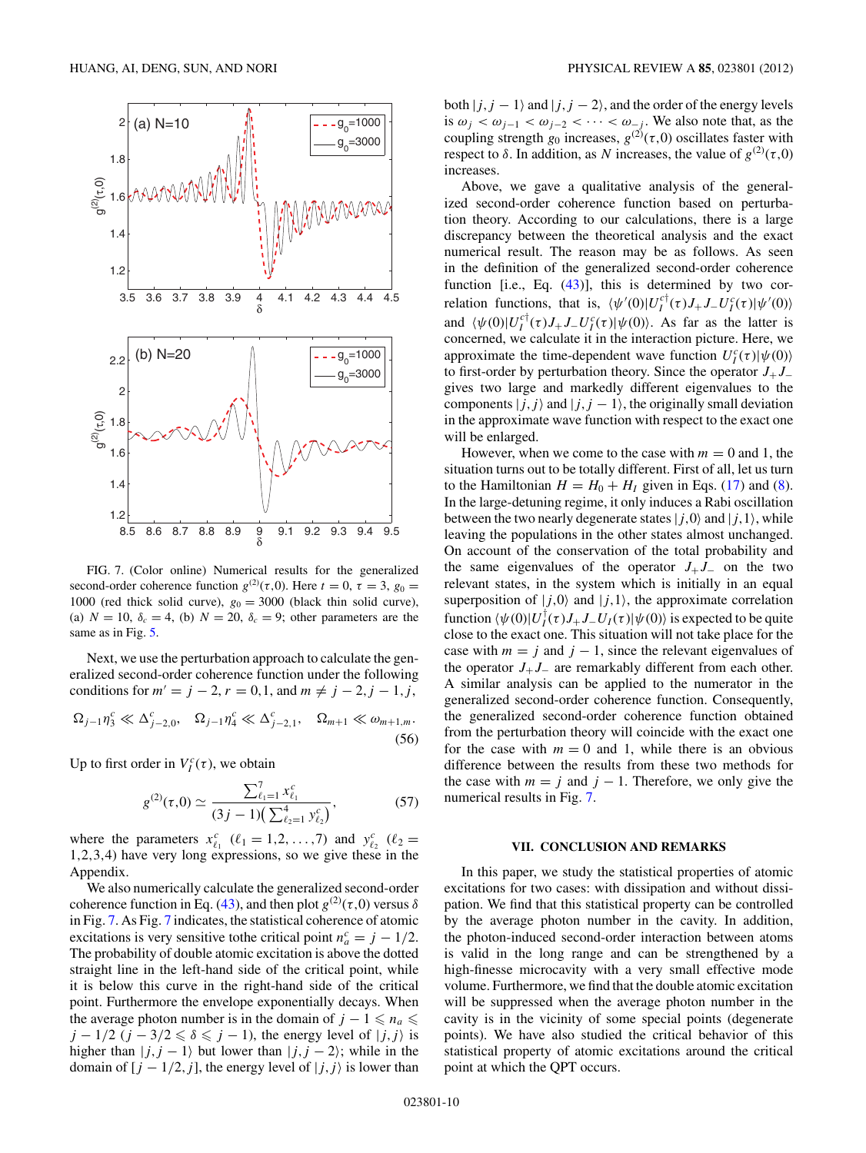<span id="page-9-0"></span>

FIG. 7. (Color online) Numerical results for the generalized second-order coherence function  $g^{(2)}(\tau,0)$ . Here  $t=0$ ,  $\tau=3$ ,  $g_0=$ 1000 (red thick solid curve),  $g_0 = 3000$  (black thin solid curve), (a)  $N = 10$ ,  $\delta_c = 4$ , (b)  $N = 20$ ,  $\delta_c = 9$ ; other parameters are the same as in Fig. [5.](#page-7-0)

Next, we use the perturbation approach to calculate the generalized second-order coherence function under the following conditions for  $m' = j - 2$ ,  $r = 0, 1$ , and  $m \neq j - 2, j - 1, j$ ,  $\Omega_{j-1} \eta_3^c \ll \Delta_j^c$  $\sum_{j=2,0}^c$ ,  $\Omega_{j-1} \eta_4^c \ll \Delta_j^c$  ${}^{c}_{j-2,1}$ *,* Ω<sub>*m*+1</sub> ≪ ω<sub>*m*+1*,m*.</sub>

$$
\Delta_{j-1}\eta_3 \ll \Delta_{j-2,0}, \quad \Delta_{j-1}\eta_4 \ll \Delta_{j-2,1}, \quad \Delta_{m+1} \ll \omega_{m+1,m}.
$$
\n(56)

Up to first order in  $V_I^c(\tau)$ , we obtain

$$
g^{(2)}(\tau,0) \simeq \frac{\sum_{\ell_1=1}^7 x_{\ell_1}^c}{(3j-1)\left(\sum_{\ell_2=1}^4 y_{\ell_2}^c\right)},\tag{57}
$$

where the parameters  $x_{\ell_1}^c$  ( $\ell_1 = 1, 2, ..., 7$ ) and  $y_{\ell_2}^c$  ( $\ell_2 =$ 1*,*2*,*3*,*4) have very long expressions, so we give these in the Appendix.

We also numerically calculate the generalized second-order coherence function in Eq. [\(43\)](#page-6-0), and then plot  $g^{(2)}(\tau,0)$  versus  $\delta$ in Fig. 7. As Fig. 7 indicates, the statistical coherence of atomic excitations is very sensitive tothe critical point  $n_a^c = j - 1/2$ . The probability of double atomic excitation is above the dotted straight line in the left-hand side of the critical point, while it is below this curve in the right-hand side of the critical point. Furthermore the envelope exponentially decays. When the average photon number is in the domain of  $j - 1 \leq n_a \leq$ *j* − 1/2 (*j* − 3/2  $\le \delta \le j$  − 1), the energy level of  $|j, j\rangle$  is higher than  $|j, j - 1\rangle$  but lower than  $|j, j - 2\rangle$ ; while in the domain of  $[j - 1/2, j]$ , the energy level of  $|j, j\rangle$  is lower than

both  $|j, j - 1\rangle$  and  $|j, j - 2\rangle$ , and the order of the energy levels is  $\omega_j < \omega_{j-1} < \omega_{j-2} < \cdots < \omega_{-j}$ . We also note that, as the coupling strength  $g_0$  increases,  $g^{(2)}(\tau,0)$  oscillates faster with respect to *δ*. In addition, as *N* increases, the value of  $g^{(2)}(τ,0)$ increases.

Above, we gave a qualitative analysis of the generalized second-order coherence function based on perturbation theory. According to our calculations, there is a large discrepancy between the theoretical analysis and the exact numerical result. The reason may be as follows. As seen in the definition of the generalized second-order coherence function [i.e., Eq. [\(43\)](#page-6-0)], this is determined by two correlation functions, that is,  $\langle \psi'(0)|U_I^{c\dagger}(\tau)J_+J_-U_I^c(\tau)|\psi'(0)\rangle$ and  $\langle \psi(0)|U_I^{\text{cf}}(\tau)J_+J_-U_I^{\text{c}}(\tau)|\psi(0)\rangle$ . As far as the latter is concerned, we calculate it in the interaction picture. Here, we approximate the time-dependent wave function  $U_I^c(\tau)|\psi(0)\rangle$ to first-order by perturbation theory. Since the operator *J*+*J*<sup>−</sup> gives two large and markedly different eigenvalues to the components  $|j,j\rangle$  and  $|j,j-1\rangle$ , the originally small deviation in the approximate wave function with respect to the exact one will be enlarged.

However, when we come to the case with  $m = 0$  and 1, the situation turns out to be totally different. First of all, let us turn to the Hamiltonian  $H = H_0 + H_I$  given in Eqs. [\(17\)](#page-4-0) and [\(8\)](#page-2-0). In the large-detuning regime, it only induces a Rabi oscillation between the two nearly degenerate states  $|j,0\rangle$  and  $|j,1\rangle$ , while leaving the populations in the other states almost unchanged. On account of the conservation of the total probability and the same eigenvalues of the operator  $J_+J_-$  on the two relevant states, in the system which is initially in an equal superposition of  $|j,0\rangle$  and  $|j,1\rangle$ , the approximate correlation function  $\langle \psi(0)|U_I^{\dagger}(\tau)J_+J_-U_I(\tau)|\psi(0)\rangle$  is expected to be quite close to the exact one. This situation will not take place for the case with  $m = j$  and  $j - 1$ , since the relevant eigenvalues of the operator  $J_+J_-$  are remarkably different from each other. A similar analysis can be applied to the numerator in the generalized second-order coherence function. Consequently, the generalized second-order coherence function obtained from the perturbation theory will coincide with the exact one for the case with  $m = 0$  and 1, while there is an obvious difference between the results from these two methods for the case with  $m = j$  and  $j - 1$ . Therefore, we only give the numerical results in Fig. 7.

### **VII. CONCLUSION AND REMARKS**

In this paper, we study the statistical properties of atomic excitations for two cases: with dissipation and without dissipation. We find that this statistical property can be controlled by the average photon number in the cavity. In addition, the photon-induced second-order interaction between atoms is valid in the long range and can be strengthened by a high-finesse microcavity with a very small effective mode volume. Furthermore, we find that the double atomic excitation will be suppressed when the average photon number in the cavity is in the vicinity of some special points (degenerate points). We have also studied the critical behavior of this statistical property of atomic excitations around the critical point at which the QPT occurs.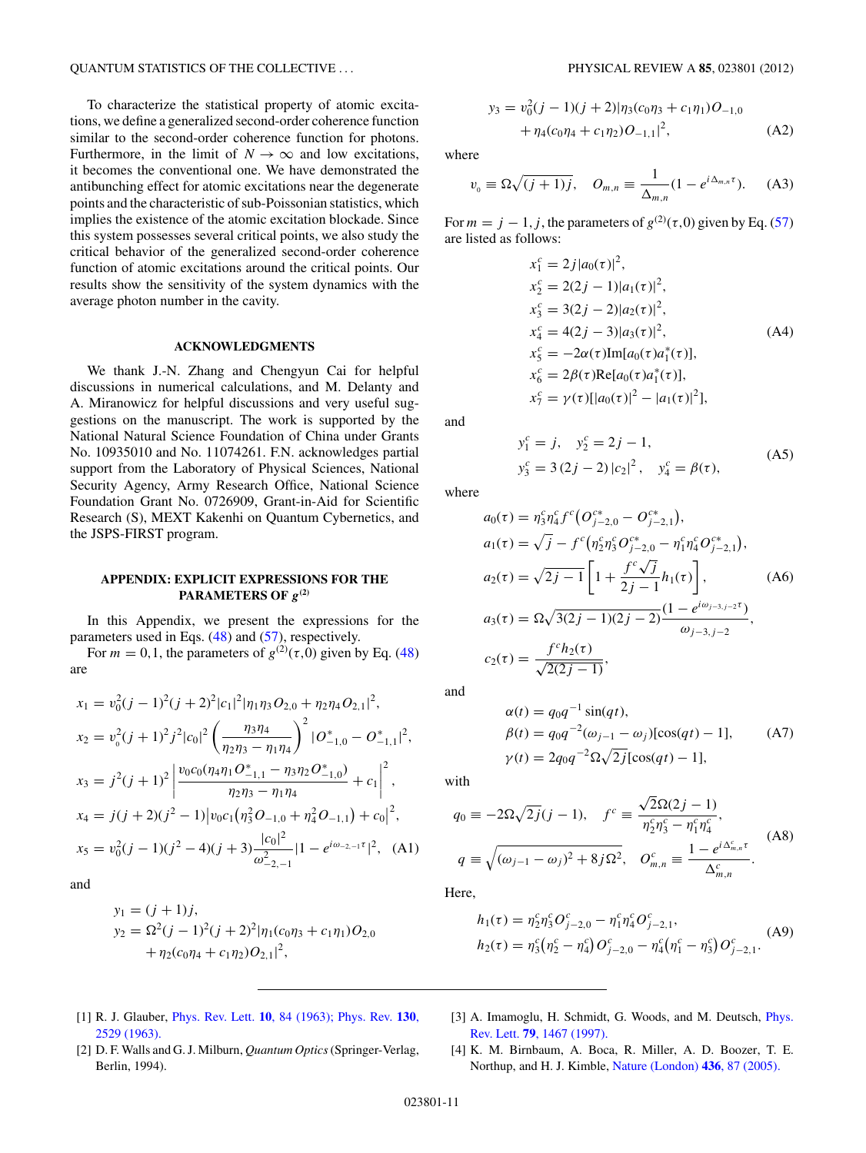<span id="page-10-0"></span>To characterize the statistical property of atomic excitations, we define a generalized second-order coherence function similar to the second-order coherence function for photons. Furthermore, in the limit of  $N \to \infty$  and low excitations, it becomes the conventional one. We have demonstrated the antibunching effect for atomic excitations near the degenerate points and the characteristic of sub-Poissonian statistics, which implies the existence of the atomic excitation blockade. Since this system possesses several critical points, we also study the critical behavior of the generalized second-order coherence function of atomic excitations around the critical points. Our results show the sensitivity of the system dynamics with the average photon number in the cavity.

## **ACKNOWLEDGMENTS**

We thank J.-N. Zhang and Chengyun Cai for helpful discussions in numerical calculations, and M. Delanty and A. Miranowicz for helpful discussions and very useful suggestions on the manuscript. The work is supported by the National Natural Science Foundation of China under Grants No. 10935010 and No. 11074261. F.N. acknowledges partial support from the Laboratory of Physical Sciences, National Security Agency, Army Research Office, National Science Foundation Grant No. 0726909, Grant-in-Aid for Scientific Research (S), MEXT Kakenhi on Quantum Cybernetics, and the JSPS-FIRST program.

## **APPENDIX: EXPLICIT EXPRESSIONS FOR THE PARAMETERS OF** *g***(2)**

In this Appendix, we present the expressions for the parameters used in Eqs. [\(48\)](#page-6-0) and [\(57\)](#page-9-0), respectively.

For  $m = 0, 1$ , the parameters of  $g^{(2)}(\tau, 0)$  given by Eq. [\(48\)](#page-6-0) are

$$
x_1 = v_0^2 (j - 1)^2 (j + 2)^2 |c_1|^2 |\eta_1 \eta_3 O_{2,0} + \eta_2 \eta_4 O_{2,1}|^2,
$$
  
\n
$$
x_2 = v_0^2 (j + 1)^2 j^2 |c_0|^2 \left(\frac{\eta_3 \eta_4}{\eta_2 \eta_3 - \eta_1 \eta_4}\right)^2 |O_{-1,0}^* - O_{-1,1}^*|^2,
$$
  
\n
$$
x_3 = j^2 (j + 1)^2 \left|\frac{v_0 c_0 (\eta_4 \eta_1 O_{-1,1}^* - \eta_3 \eta_2 O_{-1,0}^*)}{\eta_2 \eta_3 - \eta_1 \eta_4} + c_1\right|^2,
$$
  
\n
$$
x_4 = j(j + 2)(j^2 - 1) |v_0 c_1 (\eta_3^2 O_{-1,0} + \eta_4^2 O_{-1,1}) + c_0|^2,
$$
  
\n
$$
x_5 = v_0^2 (j - 1)(j^2 - 4)(j + 3) \frac{|c_0|^2}{\omega_{-2,-1}^2} |1 - e^{i\omega_{-2,-1}\tau}|^2, \quad (A1)
$$

and

$$
y_1 = (j + 1)j,
$$
  
\n
$$
y_2 = \Omega^2 (j - 1)^2 (j + 2)^2 |\eta_1(c_0 \eta_3 + c_1 \eta_1) O_{2,0}
$$
  
\n
$$
+ \eta_2(c_0 \eta_4 + c_1 \eta_2) O_{2,1}|^2,
$$

$$
y_3 = v_0^2(j - 1)(j + 2)|\eta_3(c_0\eta_3 + c_1\eta_1)O_{-1,0}
$$
  
+  $\eta_4(c_0\eta_4 + c_1\eta_2)O_{-1,1}|^2$ , (A2)

where

$$
v_0 \equiv \Omega \sqrt{(j+1)j}, \quad O_{m,n} \equiv \frac{1}{\Delta_{m,n}} (1 - e^{i\Delta_{m,n}\tau}). \tag{A3}
$$

For  $m = j - 1, j$ , the parameters of  $g^{(2)}(\tau, 0)$  given by Eq. [\(57\)](#page-9-0) are listed as follows:

$$
x_1^c = 2j|a_0(\tau)|^2,
$$
  
\n
$$
x_2^c = 2(2j - 1)|a_1(\tau)|^2,
$$
  
\n
$$
x_3^c = 3(2j - 2)|a_2(\tau)|^2,
$$
  
\n
$$
x_4^c = 4(2j - 3)|a_3(\tau)|^2,
$$
  
\n
$$
x_5^c = -2\alpha(\tau)\text{Im}[a_0(\tau)a_1^*(\tau)],
$$
  
\n
$$
x_6^c = 2\beta(\tau)\text{Re}[a_0(\tau)a_1^*(\tau)],
$$
  
\n
$$
x_7^c = \gamma(\tau)[|a_0(\tau)|^2 - |a_1(\tau)|^2],
$$

and

$$
y_1^c = j, \quad y_2^c = 2j - 1,
$$
  

$$
y_3^c = 3(2j - 2)|c_2|^2, \quad y_4^c = \beta(\tau),
$$
 (A5)

where

$$
a_0(\tau) = \eta_3^c \eta_4^c f^c \big( O_{j-2,0}^{c*} - O_{j-2,1}^{c*} \big),
$$
  
\n
$$
a_1(\tau) = \sqrt{j} - f^c \big( \eta_2^c \eta_3^c O_{j-2,0}^{c*} - \eta_1^c \eta_4^c O_{j-2,1}^{c*} \big),
$$
  
\n
$$
a_2(\tau) = \sqrt{2j-1} \left[ 1 + \frac{f^c \sqrt{j}}{2j-1} h_1(\tau) \right],
$$
  
\n
$$
a_3(\tau) = \Omega \sqrt{3(2j-1)(2j-2)} \frac{(1 - e^{i\omega_{j-3,j-2}\tau})}{\omega_{j-3,j-2}},
$$
  
\n
$$
c_2(\tau) = \frac{f^c h_2(\tau)}{\sqrt{2(2j-1)}},
$$
  
\n(A6)

and

$$
\alpha(t) = q_0 q^{-1} \sin(qt), \n\beta(t) = q_0 q^{-2} (\omega_{j-1} - \omega_j) [\cos(qt) - 1],
$$
\n
$$
\gamma(t) = 2q_0 q^{-2} \Omega \sqrt{2j} [\cos(qt) - 1],
$$
\n(A7)

with

$$
q_0 \equiv -2\Omega\sqrt{2j}(j-1), \quad f^c \equiv \frac{\sqrt{2}\Omega(2j-1)}{\eta_2^c \eta_3^c - \eta_1^c \eta_4^c},
$$
  

$$
q \equiv \sqrt{(\omega_{j-1} - \omega_j)^2 + 8j\Omega^2}, \quad O_{m,n}^c \equiv \frac{1 - e^{i\Delta_{m,n}^c \tau}}{\Delta_{m,n}^c}.
$$
 (A8)

Here,

$$
h_1(\tau) = \eta_2^c \eta_3^c O_{j-2,0}^c - \eta_1^c \eta_4^c O_{j-2,1}^c,
$$
  
\n
$$
h_2(\tau) = \eta_3^c \left(\eta_2^c - \eta_4^c\right) O_{j-2,0}^c - \eta_4^c \left(\eta_1^c - \eta_3^c\right) O_{j-2,1}^c.
$$
\n(A9)

- [1] R. J. Glauber, [Phys. Rev. Lett.](http://dx.doi.org/10.1103/PhysRevLett.10.84) **10**, 84 (1963); [Phys. Rev.](http://dx.doi.org/10.1103/PhysRev.130.2529) **130**, [2529 \(1963\).](http://dx.doi.org/10.1103/PhysRev.130.2529)
- [3] A. Imamoglu, H. Schmidt, G. Woods, and M. Deutsch, *[Phys.](http://dx.doi.org/10.1103/PhysRevLett.79.1467)* Rev. Lett. **79**[, 1467 \(1997\).](http://dx.doi.org/10.1103/PhysRevLett.79.1467)
- [2] D. F. Walls and G. J. Milburn, *Quantum Optics*(Springer-Verlag, Berlin, 1994).
- [4] K. M. Birnbaum, A. Boca, R. Miller, A. D. Boozer, T. E. Northup, and H. J. Kimble, [Nature \(London\)](http://dx.doi.org/10.1038/nature03804) **436**, 87 (2005).